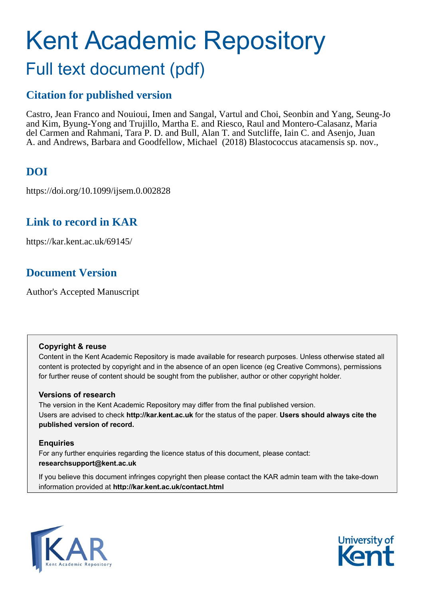# Kent Academic Repository Full text document (pdf)

## **Citation for published version**

Castro, Jean Franco and Nouioui, Imen and Sangal, Vartul and Choi, Seonbin and Yang, Seung-Jo and Kim, Byung-Yong and Trujillo, Martha E. and Riesco, Raul and Montero-Calasanz, Maria del Carmen and Rahmani, Tara P. D. and Bull, Alan T. and Sutcliffe, Iain C. and Asenjo, Juan A. and Andrews, Barbara and Goodfellow, Michael (2018) Blastococcus atacamensis sp. nov.,

## **DOI**

https://doi.org/10.1099/ijsem.0.002828

## **Link to record in KAR**

https://kar.kent.ac.uk/69145/

## **Document Version**

Author's Accepted Manuscript

#### **Copyright & reuse**

Content in the Kent Academic Repository is made available for research purposes. Unless otherwise stated all content is protected by copyright and in the absence of an open licence (eg Creative Commons), permissions for further reuse of content should be sought from the publisher, author or other copyright holder.

#### **Versions of research**

The version in the Kent Academic Repository may differ from the final published version. Users are advised to check **http://kar.kent.ac.uk** for the status of the paper. **Users should always cite the published version of record.**

#### **Enquiries**

For any further enquiries regarding the licence status of this document, please contact: **researchsupport@kent.ac.uk**

If you believe this document infringes copyright then please contact the KAR admin team with the take-down information provided at **http://kar.kent.ac.uk/contact.html**



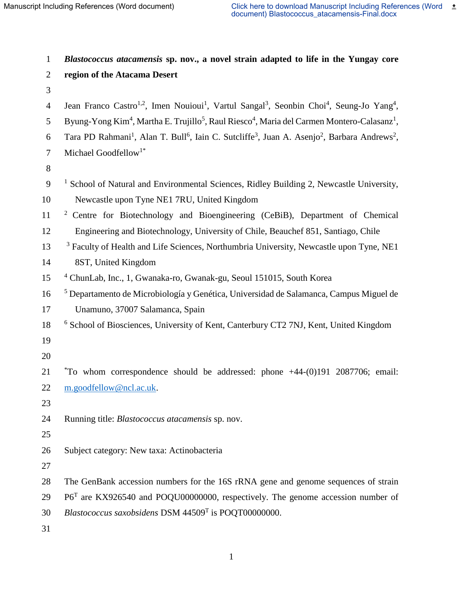*Blastococcus atacamensis* **sp. nov., a novel strain adapted to life in the Yungay core region of the Atacama Desert** 4 Jean Franco Castro<sup>1,2</sup>, Imen Nouioui<sup>1</sup>, Vartul Sangal<sup>3</sup>, Seonbin Choi<sup>4</sup>, Seung-Jo Yang<sup>4</sup>, 5 Byung-Yong Kim<sup>4</sup>, Martha E. Trujillo<sup>5</sup>, Raul Riesco<sup>4</sup>, Maria del Carmen Montero-Calasanz<sup>1</sup>, 6 Tara PD Rahmani<sup>1</sup>, Alan T. Bull<sup>6</sup>, Iain C. Sutcliffe<sup>3</sup>, Juan A. Asenjo<sup>2</sup>, Barbara Andrews<sup>2</sup>, Michael Goodfellow<sup>1\*</sup>  $9<sup>-1</sup>$  School of Natural and Environmental Sciences, Ridley Building 2, Newcastle University, Newcastle upon Tyne NE1 7RU, United Kingdom <sup>2</sup> Centre for Biotechnology and Bioengineering (CeBiB), Department of Chemical Engineering and Biotechnology, University of Chile, Beauchef 851, Santiago, Chile <sup>3</sup> Faculty of Health and Life Sciences, Northumbria University, Newcastle upon Tyne, NE1 8ST, United Kingdom 4 ChunLab, Inc., 1, Gwanaka-ro, Gwanak-gu, Seoul 151015, South Korea 16 <sup>5</sup> Departamento de Microbiología y Genética, Universidad de Salamanca, Campus Miguel de Unamuno, 37007 Salamanca, Spain 18 <sup>6</sup> School of Biosciences, University of Kent, Canterbury CT2 7NJ, Kent, United Kingdom 21 \*To whom correspondence should be addressed: phone +44-(0)191 2087706; email: [m.goodfellow@ncl.ac.uk.](mailto:m.goodfellow@ncl.ac.uk) Running title: *Blastococcus atacamensis* sp. nov. Subject category: New taxa: Actinobacteria The GenBank accession numbers for the 16S rRNA gene and genome sequences of strain P6<sup>T</sup> are KX926540 and POQU00000000, respectively. The genome accession number of 30 Blastococcus saxobsidens DSM 44509<sup>T</sup> is POQT00000000.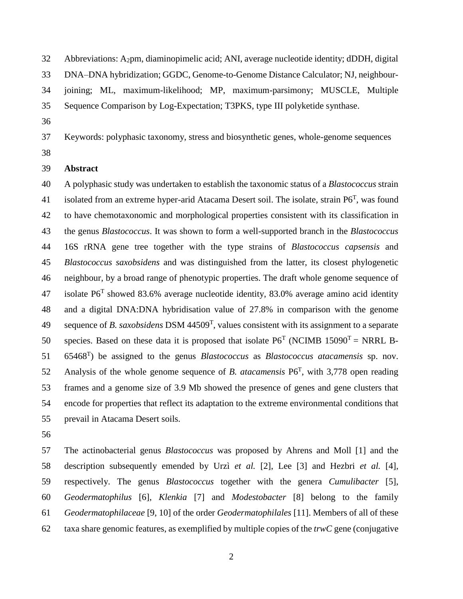- Abbreviations: A2pm, diaminopimelic acid; ANI, average nucleotide identity; dDDH, digital
- DNA–DNA hybridization; GGDC, Genome-to-Genome Distance Calculator; NJ, neighbour-
- joining; ML, maximum-likelihood; MP, maximum-parsimony; MUSCLE, Multiple
- Sequence Comparison by Log-Expectation; T3PKS, type III polyketide synthase.
- 
- Keywords: polyphasic taxonomy, stress and biosynthetic genes, whole-genome sequences
- 

#### **Abstract**

 A polyphasic study was undertaken to establish the taxonomic status of a *Blastococcus* strain 41 isolated from an extreme hyper-arid Atacama Desert soil. The isolate, strain  $P6<sup>T</sup>$ , was found to have chemotaxonomic and morphological properties consistent with its classification in the genus *Blastococcus*. It was shown to form a well-supported branch in the *Blastococcus* 16S rRNA gene tree together with the type strains of *Blastococcus capsensis* and *Blastococcus saxobsidens* and was distinguished from the latter, its closest phylogenetic neighbour, by a broad range of phenotypic properties. The draft whole genome sequence of 47 isolate  $P6^T$  showed 83.6% average nucleotide identity, 83.0% average amino acid identity and a digital DNA:DNA hybridisation value of 27.8% in comparison with the genome 49 sequence of *B. saxobsidens* DSM 44509<sup>T</sup>, values consistent with its assignment to a separate 50 species. Based on these data it is proposed that isolate  $P6^T$  (NCIMB 15090<sup>T</sup> = NRRL B-<sup>T</sup> ) be assigned to the genus *Blastococcus* as *Blastococcus atacamensis* sp. nov. 52 Analysis of the whole genome sequence of *B. atacamensis*  $P6<sup>T</sup>$ , with 3,778 open reading frames and a genome size of 3.9 Mb showed the presence of genes and gene clusters that encode for properties that reflect its adaptation to the extreme environmental conditions that prevail in Atacama Desert soils.

 The actinobacterial genus *Blastococcus* was proposed by Ahrens and Moll [1] and the description subsequently emended by Urzì *et al.* [2], Lee [3] and Hezbri *et al.* [4], respectively. The genus *Blastococcus* together with the genera *Cumulibacter* [5], *Geodermatophilus* [6], *Klenkia* [7] and *Modestobacter* [8] belong to the family *Geodermatophilaceae* [9, 10] of the order *Geodermatophilales* [11]. Members of all of these taxa share genomic features, as exemplified by multiple copies of the *trwC* gene (conjugative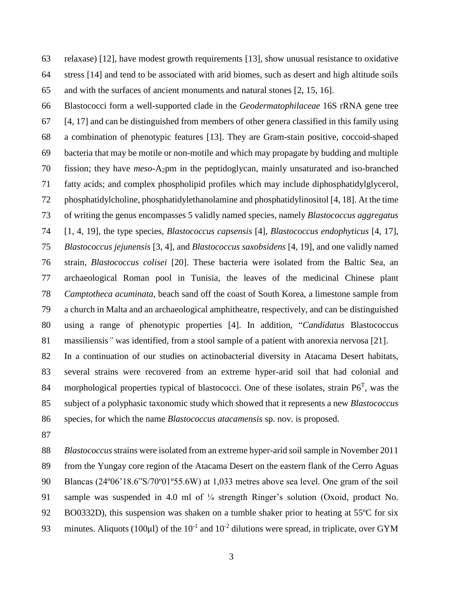relaxase) [12], have modest growth requirements [13], show unusual resistance to oxidative stress [14] and tend to be associated with arid biomes, such as desert and high altitude soils and with the surfaces of ancient monuments and natural stones [2, 15, 16].

 Blastococci form a well-supported clade in the *Geodermatophilaceae* 16S rRNA gene tree [4, 17] and can be distinguished from members of other genera classified in this family using a combination of phenotypic features [13]. They are Gram-stain positive, coccoid-shaped bacteria that may be motile or non-motile and which may propagate by budding and multiple fission; they have *meso*-A2pm in the peptidoglycan, mainly unsaturated and iso-branched fatty acids; and complex phospholipid profiles which may include diphosphatidylglycerol, phosphatidylcholine, phosphatidylethanolamine and phosphatidylinositol [4, 18]. At the time of writing the genus encompasses 5 validly named species, namely *Blastococcus aggregatus* [1, 4, 19], the type species, *Blastococcus capsensis* [4], *Blastococcus endophyticus* [4, 17], *Blastococcus jejunensis* [3, 4], and *Blastococcus saxobsidens* [4, 19], and one validly named strain, *Blastococcus colisei* [20]. These bacteria were isolated from the Baltic Sea, an archaeological Roman pool in Tunisia, the leaves of the medicinal Chinese plant *Camptotheca acuminata*, beach sand off the coast of South Korea, a limestone sample from a church in Malta and an archaeological amphitheatre, respectively, and can be distinguished using a range of phenotypic properties [4]. In addition, "*Candidatus* Blastococcus massiliensis*"* was identified, from a stool sample of a patient with anorexia nervosa [21].

 In a continuation of our studies on actinobacterial diversity in Atacama Desert habitats, several strains were recovered from an extreme hyper-arid soil that had colonial and 84 morphological properties typical of blastococci. One of these isolates, strain  $P6<sup>T</sup>$ , was the subject of a polyphasic taxonomic study which showed that it represents a new *Blastococcus* species, for which the name *Blastococcus atacamensis* sp. nov. is proposed.

 *Blastococcus*strains were isolated from an extreme hyper-arid soil sample in November 2011 from the Yungay core region of the Atacama Desert on the eastern flank of the Cerro Aguas Blancas (24º06'18.6"S/70º01º55.6W) at 1,033 metres above sea level. One gram of the soil sample was suspended in 4.0 ml of ¼ strength Ringer's solution (Oxoid, product No. BO0332D), this suspension was shaken on a tumble shaker prior to heating at 55ºC for six 93 minutes. Aliquots (100 $\mu$ l) of the 10<sup>-1</sup> and 10<sup>-2</sup> dilutions were spread, in triplicate, over GYM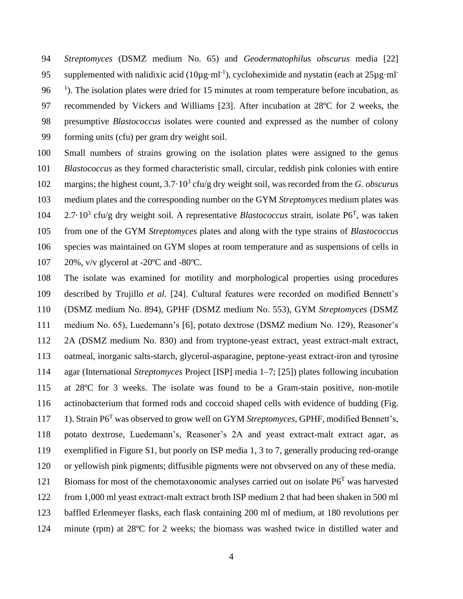*Streptomyces* (DSMZ medium No. 65) and *Geodermatophilus obscurus* media [22] supplemented with nalidixic acid ( $10\mu g \cdot ml^{-1}$ ), cycloheximide and nystatin (each at  $25\mu g \cdot ml^{-1}$  <sup> $1$ </sup>). The isolation plates were dried for 15 minutes at room temperature before incubation, as recommended by Vickers and Williams [23]. After incubation at 28ºC for 2 weeks, the presumptive *Blastococcus* isolates were counted and expressed as the number of colony forming units (cfu) per gram dry weight soil.

- Small numbers of strains growing on the isolation plates were assigned to the genus *Blastococcus* as they formed characteristic small, circular, reddish pink colonies with entire 102 margins; the highest count, 3.7 $\cdot$ 10<sup>3</sup> cfu/g dry weight soil, was recorded from the *G. obscurus*  medium plates and the corresponding number on the GYM *Streptomyces* medium plates was 104 2.7.10<sup>3</sup> cfu/g dry weight soil. A representative *Blastococcus* strain, isolate P6<sup>T</sup>, was taken from one of the GYM *Streptomyces* plates and along with the type strains of *Blastococcus* species was maintained on GYM slopes at room temperature and as suspensions of cells in 20%, v/v glycerol at -20ºC and -80ºC.
- The isolate was examined for motility and morphological properties using procedures described by Trujillo *et al.* [24]. Cultural features were recorded on modified Bennett's (DSMZ medium No. 894), GPHF (DSMZ medium No. 553), GYM *Streptomyces* (DSMZ medium No. 65), Luedemann's [6], potato dextrose (DSMZ medium No. 129), Reasoner's 2A (DSMZ medium No. 830) and from tryptone-yeast extract, yeast extract-malt extract, oatmeal, inorganic salts-starch, glycerol-asparagine, peptone-yeast extract-iron and tyrosine agar (International *Streptomyces* Project [ISP] media 1–7; [25]) plates following incubation at 28ºC for 3 weeks. The isolate was found to be a Gram-stain positive, non-motile actinobacterium that formed rods and coccoid shaped cells with evidence of budding (Fig. 117 1). Strain P6<sup>T</sup> was observed to grow well on GYM *Streptomyces*, GPHF, modified Bennett's, potato dextrose, Luedemann's, Reasoner's 2A and yeast extract-malt extract agar, as exemplified in Figure S1, but poorly on ISP media 1, 3 to 7, generally producing red-orange or yellowish pink pigments; diffusible pigments were not obvserved on any of these media. 121 Biomass for most of the chemotaxonomic analyses carried out on isolate  $P6<sup>T</sup>$  was harvested from 1,000 ml yeast extract-malt extract broth ISP medium 2 that had been shaken in 500 ml baffled Erlenmeyer flasks, each flask containing 200 ml of medium, at 180 revolutions per minute (rpm) at 28ºC for 2 weeks; the biomass was washed twice in distilled water and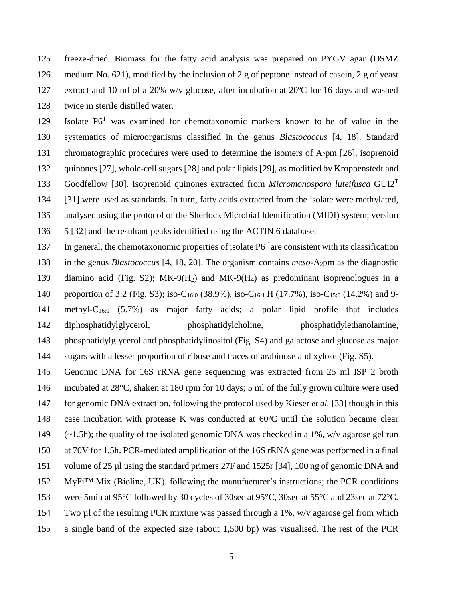freeze-dried. Biomass for the fatty acid analysis was prepared on PYGV agar (DSMZ medium No. 621), modified by the inclusion of 2 g of peptone instead of casein, 2 g of yeast extract and 10 ml of a 20% w/v glucose, after incubation at 20ºC for 16 days and washed twice in sterile distilled water.

129 Isolate P6<sup>T</sup> was examined for chemotaxonomic markers known to be of value in the systematics of microorganisms classified in the genus *Blastococcus* [4, 18]. Standard 131 chromatographic procedures were used to determine the isomers of  $A_2$ pm [26], isoprenoid quinones [27], whole-cell sugars [28] and polar lipids [29], as modified by Kroppenstedt and Goodfellow [30]. Isoprenoid quinones extracted from *Micromonospora luteifusca* GUI2<sup>T</sup> [31] were used as standards. In turn, fatty acids extracted from the isolate were methylated, analysed using the protocol of the Sherlock Microbial Identification (MIDI) system, version 5 [32] and the resultant peaks identified using the ACTIN 6 database.

137 In general, the chemotaxonomic properties of isolate  $P6<sup>T</sup>$  are consistent with its classification in the genus *Blastococcus* [4, 18, 20]. The organism contains *meso*-A2pm as the diagnostic diamino acid (Fig. S2); MK-9(H2) and MK-9(H4) as predominant isoprenologues in a 140 proportion of 3:2 (Fig. S3); iso-C<sub>16:0</sub> (38.9%), iso-C<sub>16:1</sub> H (17.7%), iso-C<sub>15:0</sub> (14.2%) and 9-141 methyl- $C_{16:0}$  (5.7%) as major fatty acids; a polar lipid profile that includes diphosphatidylglycerol, phosphatidylcholine, phosphatidylethanolamine, phosphatidylglycerol and phosphatidylinositol (Fig. S4) and galactose and glucose as major

sugars with a lesser proportion of ribose and traces of arabinose and xylose (Fig. S5).

 Genomic DNA for 16S rRNA gene sequencing was extracted from 25 ml ISP 2 broth incubated at 28°C, shaken at 180 rpm for 10 days; 5 ml of the fully grown culture were used for genomic DNA extraction, following the protocol used by Kieser *et al.* [33] though in this case incubation with protease K was conducted at 60ºC until the solution became clear (~1.5h); the quality of the isolated genomic DNA was checked in a 1%, w/v agarose gel run at 70V for 1.5h. PCR-mediated amplification of the 16S rRNA gene was performed in a final volume of 25 µl using the standard primers 27F and 1525r [34], 100 ng of genomic DNA and MyFi™ Mix (Bioline, UK), following the manufacturer's instructions; the PCR conditions were 5min at 95°C followed by 30 cycles of 30sec at 95°C, 30sec at 55°C and 23sec at 72°C. Two µl of the resulting PCR mixture was passed through a 1%, w/v agarose gel from which a single band of the expected size (about 1,500 bp) was visualised. The rest of the PCR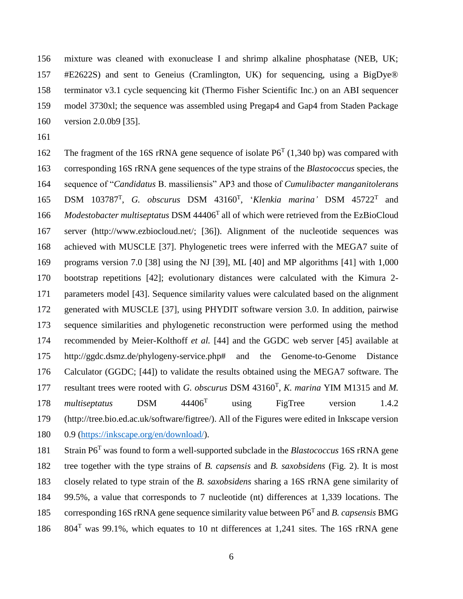mixture was cleaned with exonuclease I and shrimp alkaline phosphatase (NEB, UK; #E2622S) and sent to Geneius (Cramlington, UK) for sequencing, using a BigDye® terminator v3.1 cycle sequencing kit (Thermo Fisher Scientific Inc.) on an ABI sequencer model 3730xl; the sequence was assembled using Pregap4 and Gap4 from Staden Package version 2.0.0b9 [35].

162 The fragment of the 16S rRNA gene sequence of isolate  $P6<sup>T</sup>$  (1,340 bp) was compared with corresponding 16S rRNA gene sequences of the type strains of the *Blastococcus* species, the sequence of "*Candidatus* B. massiliensis" AP3 and those of *Cumulibacter manganitolerans*  165 DSM 103787<sup>T</sup>, G. *obscurus* DSM 43160<sup>T</sup>, '*Klenkia marina'* DSM 45722<sup>T</sup> and 166 Modestobacter multiseptatus DSM 44406<sup>T</sup> all of which were retrieved from the EzBioCloud server (http://www.ezbiocloud.net/; [36]). Alignment of the nucleotide sequences was achieved with MUSCLE [37]. Phylogenetic trees were inferred with the MEGA7 suite of programs version 7.0 [38] using the NJ [39], ML [40] and MP algorithms [41] with 1,000 bootstrap repetitions [42]; evolutionary distances were calculated with the Kimura 2- parameters model [43]. Sequence similarity values were calculated based on the alignment generated with MUSCLE [37], using PHYDIT software version 3.0. In addition, pairwise sequence similarities and phylogenetic reconstruction were performed using the method recommended by Meier-Kolthoff *et al.* [44] and the GGDC web server [45] available at http://ggdc.dsmz.de/phylogeny-service.php# and the Genome-to-Genome Distance Calculator (GGDC; [44]) to validate the results obtained using the MEGA7 software. The 177 resultant trees were rooted with *G. obscurus* DSM 43160<sup>T</sup>, *K. marina* YIM M1315 and *M.* 178 multiseptatus DSM 44406<sup>T</sup> using FigTree version 1.4.2 (http://tree.bio.ed.ac.uk/software/figtree/). All of the Figures were edited in Inkscape version 0.9 [\(https://inkscape.org/en/download/\)](https://inkscape.org/en/download/).

181 Strain P6<sup>T</sup> was found to form a well-supported subclade in the *Blastococcus* 16S rRNA gene tree together with the type strains of *B. capsensis* and *B. saxobsidens* (Fig. 2). It is most closely related to type strain of the *B. saxobsidens* sharing a 16S rRNA gene similarity of 99.5%, a value that corresponds to 7 nucleotide (nt) differences at 1,339 locations. The 185 corresponding 16S rRNA gene sequence similarity value between P6<sup>T</sup> and *B. capsensis* BMG 186 804<sup>T</sup> was 99.1%, which equates to 10 nt differences at 1,241 sites. The 16S rRNA gene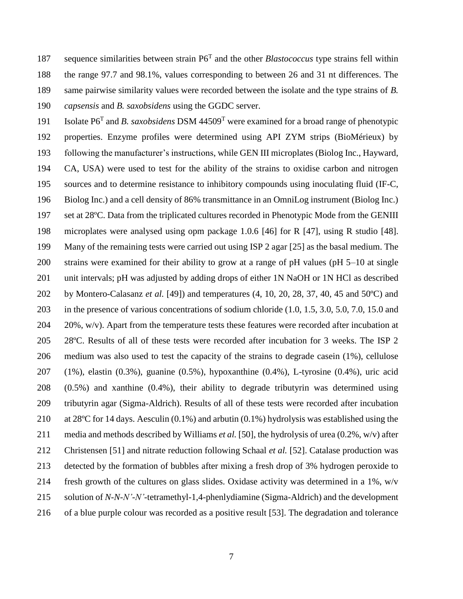187 sequence similarities between strain P6<sup>T</sup> and the other *Blastococcus* type strains fell within the range 97.7 and 98.1%, values corresponding to between 26 and 31 nt differences. The same pairwise similarity values were recorded between the isolate and the type strains of *B. capsensis* and *B. saxobsidens* using the GGDC server.

191 Isolate P6<sup>T</sup> and *B. saxobsidens* DSM 44509<sup>T</sup> were examined for a broad range of phenotypic properties. Enzyme profiles were determined using API ZYM strips (BioMérieux) by following the manufacturer's instructions, while GEN III microplates (Biolog Inc., Hayward, CA, USA) were used to test for the ability of the strains to oxidise carbon and nitrogen sources and to determine resistance to inhibitory compounds using inoculating fluid (IF-C, Biolog Inc.) and a cell density of 86% transmittance in an OmniLog instrument (Biolog Inc.) set at 28ºC. Data from the triplicated cultures recorded in Phenotypic Mode from the GENIII microplates were analysed using opm package 1.0.6 [46] for R [47], using R studio [48]. Many of the remaining tests were carried out using ISP 2 agar [25] as the basal medium. The strains were examined for their ability to grow at a range of pH values (pH 5–10 at single unit intervals; pH was adjusted by adding drops of either 1N NaOH or 1N HCl as described by Montero-Calasanz *et al.* [49]) and temperatures (4, 10, 20, 28, 37, 40, 45 and 50ºC) and in the presence of various concentrations of sodium chloride (1.0, 1.5, 3.0, 5.0, 7.0, 15.0 and 20%, w/v). Apart from the temperature tests these features were recorded after incubation at 28ºC. Results of all of these tests were recorded after incubation for 3 weeks. The ISP 2 medium was also used to test the capacity of the strains to degrade casein (1%), cellulose (1%), elastin (0.3%), guanine (0.5%), hypoxanthine (0.4%), L-tyrosine (0.4%), uric acid (0.5%) and xanthine (0.4%), their ability to degrade tributyrin was determined using tributyrin agar (Sigma-Aldrich). Results of all of these tests were recorded after incubation at 28ºC for 14 days. Aesculin (0.1%) and arbutin (0.1%) hydrolysis was established using the media and methods described by Williams *et al.* [50], the hydrolysis of urea (0.2%, w/v) after Christensen [51] and nitrate reduction following Schaal *et al.* [52]. Catalase production was detected by the formation of bubbles after mixing a fresh drop of 3% hydrogen peroxide to 214 fresh growth of the cultures on glass slides. Oxidase activity was determined in a 1%,  $w/v$  solution of *N-N-N'-N'-*tetramethyl-1,4-phenlydiamine (Sigma-Aldrich) and the development of a blue purple colour was recorded as a positive result [53]. The degradation and tolerance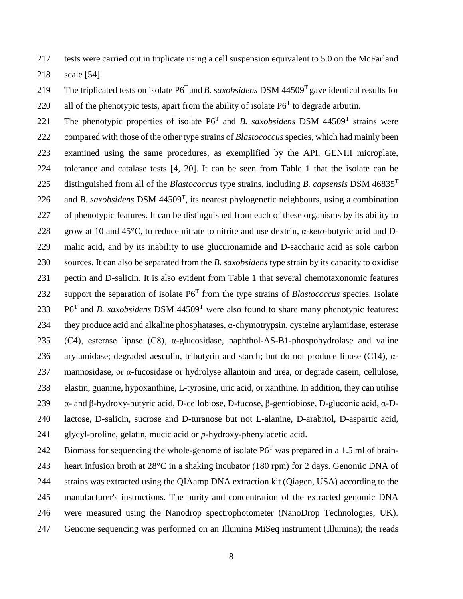tests were carried out in triplicate using a cell suspension equivalent to 5.0 on the McFarland

scale [54].

The triplicated tests on isolate  $P6<sup>T</sup>$  and *B. saxobsidens* DSM 44509<sup>T</sup> gave identical results for 220 all of the phenotypic tests, apart from the ability of isolate  $P6<sup>T</sup>$  to degrade arbutin.

221 The phenotypic properties of isolate  $P6^T$  and *B. saxobsidens* DSM 44509<sup>T</sup> strains were compared with those of the other type strains of *Blastococcus* species, which had mainly been examined using the same procedures, as exemplified by the API, GENIII microplate, tolerance and catalase tests [4, 20]. It can be seen from Table 1 that the isolate can be distinguished from all of the *Blastococcus* type strains, including *B. capsensis* DSM 46835<sup>T</sup> 226 and *B. saxobsidens* DSM  $44509<sup>T</sup>$ , its nearest phylogenetic neighbours, using a combination of phenotypic features. It can be distinguished from each of these organisms by its ability to grow at 10 and 45°C, to reduce nitrate to nitrite and use dextrin, α-*keto*-butyric acid and D- malic acid, and by its inability to use glucuronamide and D-saccharic acid as sole carbon sources. It can also be separated from the *B. saxobsidens* type strain by its capacity to oxidise pectin and D-salicin. It is also evident from Table 1 that several chemotaxonomic features 232 support the separation of isolate  $P6<sup>T</sup>$  from the type strains of *Blastococcus* species. Isolate  $P6<sup>T</sup>$  and *B. saxobsidens* DSM 44509<sup>T</sup> were also found to share many phenotypic features: they produce acid and alkaline phosphatases, α-chymotrypsin, cysteine arylamidase, esterase (C4), esterase lipase (C8), α-glucosidase, naphthol-AS-B1-phospohydrolase and valine 236 arylamidase; degraded aesculin, tributyrin and starch; but do not produce lipase (C14),  $\alpha$ - mannosidase, or α-fucosidase or hydrolyse allantoin and urea, or degrade casein, cellulose, elastin, guanine, hypoxanthine, L-tyrosine, uric acid, or xanthine*.* In addition, they can utilise α- and β-hydroxy-butyric acid, D-cellobiose, D-fucose, β-gentiobiose, D-gluconic acid, α-D- lactose, D-salicin, sucrose and D-turanose but not L-alanine, D-arabitol, D-aspartic acid, glycyl-proline, gelatin, mucic acid or *p*-hydroxy-phenylacetic acid.

242 Biomass for sequencing the whole-genome of isolate  $P6<sup>T</sup>$  was prepared in a 1.5 ml of brain- heart infusion broth at 28°C in a shaking incubator (180 rpm) for 2 days. Genomic DNA of strains was extracted using the QIAamp DNA extraction kit (Qiagen, USA) according to the manufacturer's instructions. The purity and concentration of the extracted genomic DNA were measured using the Nanodrop spectrophotometer (NanoDrop Technologies, UK). Genome sequencing was performed on an Illumina MiSeq instrument (Illumina); the reads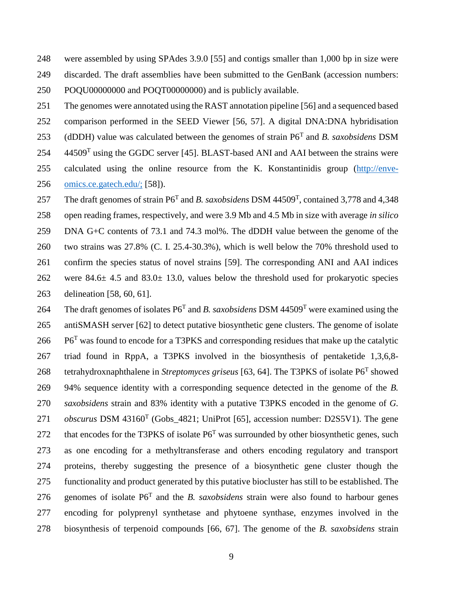were assembled by using SPAdes 3.9.0 [55] and contigs smaller than 1,000 bp in size were discarded. The draft assemblies have been submitted to the GenBank (accession numbers: POQU00000000 and POQT00000000) and is publicly available.

 The genomes were annotated using the RAST annotation pipeline [56] and a sequenced based comparison performed in the SEED Viewer [56, 57]. A digital DNA:DNA hybridisation 253 (dDDH) value was calculated between the genomes of strain  $P6<sup>T</sup>$  and *B. saxobsidens* DSM  $44509<sup>T</sup>$  using the GGDC server [45]. BLAST-based ANI and AAI between the strains were calculated using the online resource from the K. Konstantinidis group [\(http://enve-](http://enve-omics.ce.gatech.edu/)

[omics.ce.gatech.edu/;](http://enve-omics.ce.gatech.edu/) [58]).

257 The draft genomes of strain P6<sup>T</sup> and *B. saxobsidens* DSM 44509<sup>T</sup>, contained 3,778 and 4,348 open reading frames, respectively, and were 3.9 Mb and 4.5 Mb in size with average *in silico*  DNA G+C contents of 73.1 and 74.3 mol%. The dDDH value between the genome of the two strains was 27.8% (C. I. 25.4-30.3%), which is well below the 70% threshold used to confirm the species status of novel strains [59]. The corresponding ANI and AAI indices were 84.6± 4.5 and 83.0± 13.0, values below the threshold used for prokaryotic species delineation [58, 60, 61].

264 The draft genomes of isolates  $P6<sup>T</sup>$  and *B. saxobsidens* DSM 44509<sup>T</sup> were examined using the antiSMASH server [62] to detect putative biosynthetic gene clusters. The genome of isolate P6<sup>T</sup> was found to encode for a T3PKS and corresponding residues that make up the catalytic triad found in RppA, a T3PKS involved in the biosynthesis of pentaketide 1,3,6,8- 268 tetrahydroxnaphthalene in *Streptomyces griseus* [63, 64]. The T3PKS of isolate P6<sup>T</sup> showed 94% sequence identity with a corresponding sequence detected in the genome of the *B. saxobsidens* strain and 83% identity with a putative T3PKS encoded in the genome of *G. obscurus* DSM 43160<sup>T</sup> (Gobs\_4821; UniProt [65], accession number: D2S5V1). The gene 272 that encodes for the T3PKS of isolate  $P6<sup>T</sup>$  was surrounded by other biosynthetic genes, such as one encoding for a methyltransferase and others encoding regulatory and transport proteins, thereby suggesting the presence of a biosynthetic gene cluster though the functionality and product generated by this putative biocluster has still to be established. The 276 genomes of isolate  $P6^T$  and the *B. saxobsidens* strain were also found to harbour genes encoding for polyprenyl synthetase and phytoene synthase, enzymes involved in the biosynthesis of terpenoid compounds [66, 67]. The genome of the *B. saxobsidens* strain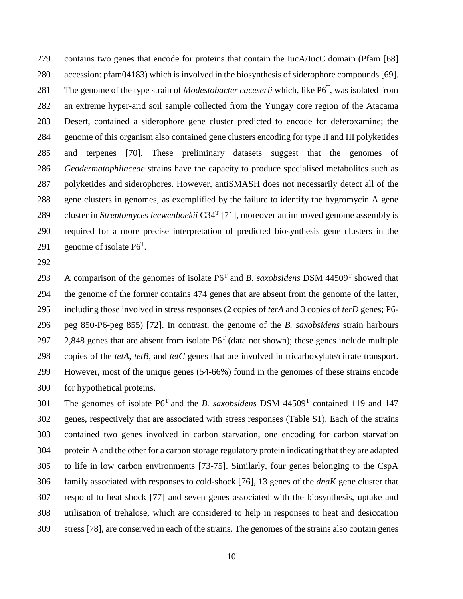contains two genes that encode for proteins that contain the IucA/IucC domain (Pfam [68] accession: pfam04183) which is involved in the biosynthesis of siderophore compounds [69]. 281 The genome of the type strain of *Modestobacter caceserii* which, like P6<sup>T</sup>, was isolated from an extreme hyper-arid soil sample collected from the Yungay core region of the Atacama Desert, contained a siderophore gene cluster predicted to encode for deferoxamine; the genome of this organism also contained gene clusters encoding for type II and III polyketides and terpenes [70]. These preliminary datasets suggest that the genomes of *Geodermatophilaceae* strains have the capacity to produce specialised metabolites such as polyketides and siderophores. However, antiSMASH does not necessarily detect all of the gene clusters in genomes, as exemplified by the failure to identify the hygromycin A gene 289 cluster in *Streptomyces leewenhoekii* C34<sup>T</sup> [71], moreover an improved genome assembly is required for a more precise interpretation of predicted biosynthesis gene clusters in the 291 genome of isolate  $P6^T$ .

293 A comparison of the genomes of isolate  $P6^T$  and *B. saxobsidens* DSM 44509<sup>T</sup> showed that the genome of the former contains 474 genes that are absent from the genome of the latter, including those involved in stress responses (2 copies of *terA* and 3 copies of *terD* genes; P6- peg 850-P6-peg 855) [72]. In contrast, the genome of the *B. saxobsidens* strain harbours 297 2,848 genes that are absent from isolate  $P6<sup>T</sup>$  (data not shown); these genes include multiple copies of the *tetA*, *tetB*, and *tetC* genes that are involved in tricarboxylate/citrate transport. However, most of the unique genes (54-66%) found in the genomes of these strains encode for hypothetical proteins.

301 The genomes of isolate  $P6^T$  and the *B. saxobsidens* DSM 44509<sup>T</sup> contained 119 and 147 genes, respectively that are associated with stress responses (Table S1). Each of the strains contained two genes involved in carbon starvation, one encoding for carbon starvation protein A and the other for a carbon storage regulatory protein indicating that they are adapted to life in low carbon environments [73-75]. Similarly, four genes belonging to the CspA family associated with responses to cold-shock [76], 13 genes of the *dnaK* gene cluster that respond to heat shock [77] and seven genes associated with the biosynthesis, uptake and utilisation of trehalose, which are considered to help in responses to heat and desiccation stress [78], are conserved in each of the strains. The genomes of the strains also contain genes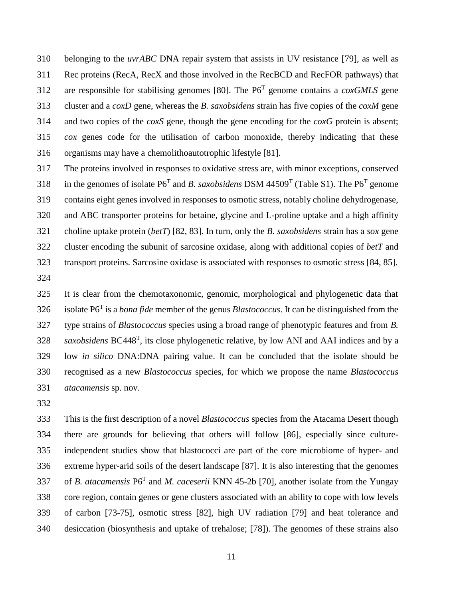belonging to the *uvrABC* DNA repair system that assists in UV resistance [79], as well as Rec proteins (RecA, RecX and those involved in the RecBCD and RecFOR pathways) that 312 are responsible for stabilising genomes [80]. The  $P6<sup>T</sup>$  genome contains a *coxGMLS* gene cluster and a *coxD* gene, whereas the *B. saxobsidens* strain has five copies of the *coxM* gene and two copies of the *coxS* gene, though the gene encoding for the *coxG* protein is absent; *cox* genes code for the utilisation of carbon monoxide, thereby indicating that these organisms may have a chemolithoautotrophic lifestyle [81].

 The proteins involved in responses to oxidative stress are, with minor exceptions, conserved 318 in the genomes of isolate  $P6^T$  and *B. saxobsidens* DSM 44509<sup>T</sup> (Table S1). The  $P6^T$  genome contains eight genes involved in responses to osmotic stress, notably choline dehydrogenase, and ABC transporter proteins for betaine, glycine and L-proline uptake and a high affinity choline uptake protein (*betT*) [82, 83]. In turn, only the *B. saxobsidens* strain has a *sox* gene cluster encoding the subunit of sarcosine oxidase, along with additional copies of *betT* and transport proteins. Sarcosine oxidase is associated with responses to osmotic stress [84, 85]. 

 It is clear from the chemotaxonomic, genomic, morphological and phylogenetic data that isolate P6<sup>T</sup> is a *bona fide* member of the genus *Blastococcus*. It can be distinguished from the type strains of *Blastococcus* species using a broad range of phenotypic features and from *B. saxobsidens* BC448<sup>T</sup>, its close phylogenetic relative, by low ANI and AAI indices and by a low *in silico* DNA:DNA pairing value. It can be concluded that the isolate should be recognised as a new *Blastococcus* species, for which we propose the name *Blastococcus atacamensis* sp. nov.

 This is the first description of a novel *Blastococcus* species from the Atacama Desert though there are grounds for believing that others will follow [86], especially since culture- independent studies show that blastococci are part of the core microbiome of hyper- and extreme hyper-arid soils of the desert landscape [87]. It is also interesting that the genomes 337 of *B. atacamensis* P6<sup>T</sup> and *M. caceserii* KNN 45-2b [70], another isolate from the Yungay core region, contain genes or gene clusters associated with an ability to cope with low levels of carbon [73-75], osmotic stress [82], high UV radiation [79] and heat tolerance and desiccation (biosynthesis and uptake of trehalose; [78]). The genomes of these strains also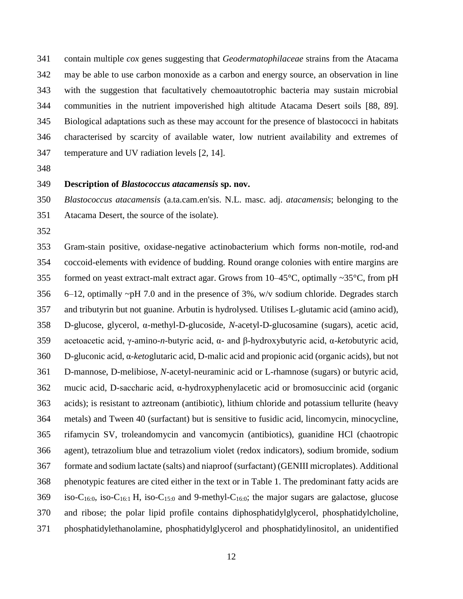contain multiple *cox* genes suggesting that *Geodermatophilaceae* strains from the Atacama may be able to use carbon monoxide as a carbon and energy source, an observation in line with the suggestion that facultatively chemoautotrophic bacteria may sustain microbial communities in the nutrient impoverished high altitude Atacama Desert soils [88, 89]. Biological adaptations such as these may account for the presence of blastococci in habitats characterised by scarcity of available water, low nutrient availability and extremes of temperature and UV radiation levels [2, 14].

#### **Description of** *Blastococcus atacamensis* **sp. nov.**

 *Blastococcus atacamensis* (a.ta.cam.en'sis. N.L. masc. adj. *atacamensis*; belonging to the Atacama Desert, the source of the isolate).

 Gram-stain positive, oxidase-negative actinobacterium which forms non-motile, rod-and coccoid-elements with evidence of budding. Round orange colonies with entire margins are 355 formed on yeast extract-malt extract agar. Grows from  $10-45^{\circ}$ C, optimally ~35 $^{\circ}$ C, from pH 356 6–12, optimally  $\neg$ pH 7.0 and in the presence of 3%, w/v sodium chloride. Degrades starch and tributyrin but not guanine. Arbutin is hydrolysed. Utilises L-glutamic acid (amino acid), D-glucose, glycerol, α-methyl-D-glucoside, *N*-acetyl-D-glucosamine (sugars), acetic acid, acetoacetic acid, γ-amino-*n*-butyric acid, α- and β-hydroxybutyric acid, α-*keto*butyric acid, D-gluconic acid, α-*keto*glutaric acid, D-malic acid and propionic acid (organic acids), but not D-mannose, D-melibiose, *N*-acetyl-neuraminic acid or L-rhamnose (sugars) or butyric acid, mucic acid, D-saccharic acid, α-hydroxyphenylacetic acid or bromosuccinic acid (organic acids); is resistant to aztreonam (antibiotic), lithium chloride and potassium tellurite (heavy metals) and Tween 40 (surfactant) but is sensitive to fusidic acid, lincomycin, minocycline, rifamycin SV, troleandomycin and vancomycin (antibiotics), guanidine HCl (chaotropic agent), tetrazolium blue and tetrazolium violet (redox indicators), sodium bromide, sodium formate and sodium lactate (salts) and niaproof (surfactant) (GENIII microplates). Additional phenotypic features are cited either in the text or in Table 1. The predominant fatty acids are 369 iso-C<sub>16:0</sub>, iso-C<sub>16:1</sub> H, iso-C<sub>15:0</sub> and 9-methyl-C<sub>16:0</sub>; the major sugars are galactose, glucose and ribose; the polar lipid profile contains diphosphatidylglycerol, phosphatidylcholine, phosphatidylethanolamine, phosphatidylglycerol and phosphatidylinositol, an unidentified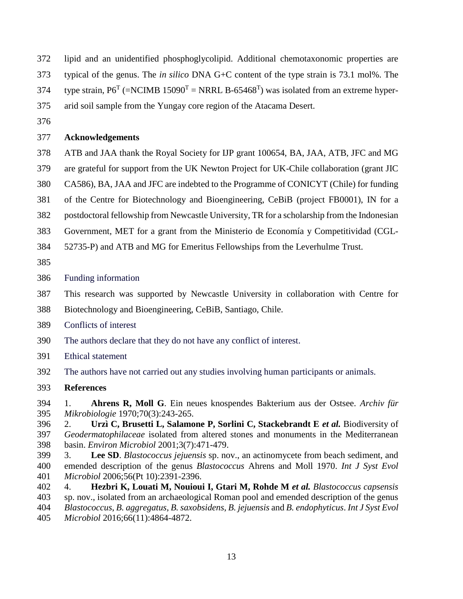- lipid and an unidentified phosphoglycolipid. Additional chemotaxonomic properties are
- typical of the genus. The *in silico* DNA G+C content of the type strain is 73.1 mol%. The
- 374 type strain,  $P6^T$  (=NCIMB 15090<sup>T</sup> = NRRL B-65468<sup>T</sup>) was isolated from an extreme hyper-
- arid soil sample from the Yungay core region of the Atacama Desert.
- 

#### **Acknowledgements**

- ATB and JAA thank the Royal Society for IJP grant 100654, BA, JAA, ATB, JFC and MG
- are grateful for support from the UK Newton Project for UK-Chile collaboration (grant JIC
- CA586), BA, JAA and JFC are indebted to the Programme of CONICYT (Chile) for funding
- of the Centre for Biotechnology and Bioengineering, CeBiB (project FB0001), IN for a
- postdoctoral fellowship from Newcastle University, TR for a scholarship from the Indonesian
- Government, MET for a grant from the Ministerio de Economía y Competitividad (CGL-
- 52735-P) and ATB and MG for Emeritus Fellowships from the Leverhulme Trust.
- 
- Funding information
- This research was supported by Newcastle University in collaboration with Centre for
- Biotechnology and Bioengineering, CeBiB, Santiago, Chile.
- Conflicts of interest
- The authors declare that they do not have any conflict of interest.
- Ethical statement
- The authors have not carried out any studies involving human participants or animals.
- **References**
- 1. **Ahrens R, Moll G**. Ein neues knospendes Bakterium aus der Ostsee. *Archiv für Mikrobiologie* 1970;70(3):243-265.
- 2. **Urzì C, Brusetti L, Salamone P, Sorlini C, Stackebrandt E** *et al.* Biodiversity of *Geodermatophilaceae* isolated from altered stones and monuments in the Mediterranean basin. *Environ Microbiol* 2001;3(7):471-479.
- 3. **Lee SD**. *Blastococcus jejuensis* sp. nov., an actinomycete from beach sediment, and emended description of the genus *Blastococcus* Ahrens and Moll 1970. *Int J Syst Evol Microbiol* 2006;56(Pt 10):2391-2396.
- 4. **Hezbri K, Louati M, Nouioui I, Gtari M, Rohde M** *et al. Blastococcus capsensis* sp. nov., isolated from an archaeological Roman pool and emended description of the genus *Blastococcus*, *B. aggregatus*, *B. saxobsidens*, *B. jejuensis* and *B. endophyticus*. *Int J Syst Evol Microbiol* 2016;66(11):4864-4872.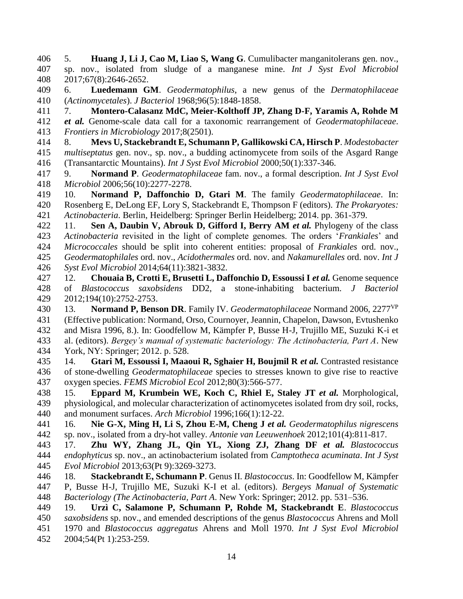5. **Huang J, Li J, Cao M, Liao S, Wang G**. Cumulibacter manganitolerans gen. nov., sp. nov., isolated from sludge of a manganese mine. *Int J Syst Evol Microbiol* 2017;67(8):2646-2652.

 6. **Luedemann GM**. *Geodermatophilus*, a new genus of the *Dermatophilaceae* (*Actinomycetales*). *J Bacteriol* 1968;96(5):1848-1858.

7. **Montero-Calasanz MdC, Meier-Kolthoff JP, Zhang D-F, Yaramis A, Rohde M**

 *et al.* Genome-scale data call for a taxonomic rearrangement of *Geodermatophilaceae*. *Frontiers in Microbiology* 2017;8(2501).

 8. **Mevs U, Stackebrandt E, Schumann P, Gallikowski CA, Hirsch P**. *Modestobacter multiseptatus* gen. nov., sp. nov., a budding actinomycete from soils of the Asgard Range (Transantarctic Mountains). *Int J Syst Evol Microbiol* 2000;50(1):337-346.

 9. **Normand P**. *Geodermatophilaceae* fam. nov., a formal description. *Int J Syst Evol Microbiol* 2006;56(10):2277-2278.

 10. **Normand P, Daffonchio D, Gtari M**. The family *Geodermatophilaceae*. In: Rosenberg E, DeLong EF, Lory S, Stackebrandt E, Thompson F (editors). *The Prokaryotes: Actinobacteria*. Berlin, Heidelberg: Springer Berlin Heidelberg; 2014. pp. 361-379.

 11. **Sen A, Daubin V, Abrouk D, Gifford I, Berry AM** *et al.* Phylogeny of the class *Actinobacteria* revisited in the light of complete genomes. The orders '*Frankiales*' and *Micrococcales* should be split into coherent entities: proposal of *Frankiales* ord. nov., *Geodermatophilales* ord. nov., *Acidothermales* ord. nov. and *Nakamurellales* ord. nov. *Int J Syst Evol Microbiol* 2014;64(11):3821-3832.

 12. **Chouaia B, Crotti E, Brusetti L, Daffonchio D, Essoussi I** *et al.* Genome sequence of *Blastococcus saxobsidens* DD2, a stone-inhabiting bacterium. *J Bacteriol* 2012;194(10):2752-2753.

13. **Normand P, Benson DR**. Family IV. *Geodermatophilaceae* Normand 2006, 2277VP (Effective publication: Normand, Orso, Cournoyer, Jeannin, Chapelon, Dawson, Evtushenko and Misra 1996, 8.). In: Goodfellow M, Kämpfer P, Busse H-J, Trujillo ME, Suzuki K-i et al. (editors). *Bergey's manual of systematic bacteriology: The Actinobacteria, Part A*. New York, NY: Springer; 2012. p. 528.

 14. **Gtari M, Essoussi I, Maaoui R, Sghaier H, Boujmil R** *et al.* Contrasted resistance of stone-dwelling *Geodermatophilaceae* species to stresses known to give rise to reactive oxygen species. *FEMS Microbiol Ecol* 2012;80(3):566-577.

 15. **Eppard M, Krumbein WE, Koch C, Rhiel E, Staley JT** *et al.* Morphological, physiological, and molecular characterization of actinomycetes isolated from dry soil, rocks, and monument surfaces. *Arch Microbiol* 1996;166(1):12-22.

 16. **Nie G-X, Ming H, Li S, Zhou E-M, Cheng J** *et al. Geodermatophilus nigrescens* sp. nov., isolated from a dry-hot valley. *Antonie van Leeuwenhoek* 2012;101(4):811-817.

 17. **Zhu WY, Zhang JL, Qin YL, Xiong ZJ, Zhang DF** *et al. Blastococcus endophyticus* sp. nov., an actinobacterium isolated from *Camptotheca acuminata*. *Int J Syst Evol Microbiol* 2013;63(Pt 9):3269-3273.

 18. **Stackebrandt E, Schumann P**. Genus II. *Blastococcus*. In: Goodfellow M, Kämpfer P, Busse H-J, Trujillo ME, Suzuki K-I et al. (editors). *Bergeys Manual of Systematic Bacteriology (The Actinobacteria, Part A*. New York: Springer; 2012. pp. 531–536.

 19. **Urzì C, Salamone P, Schumann P, Rohde M, Stackebrandt E**. *Blastococcus saxobsidens* sp. nov., and emended descriptions of the genus *Blastococcus* Ahrens and Moll 1970 and *Blastococcus aggregatus* Ahrens and Moll 1970. *Int J Syst Evol Microbiol* 2004;54(Pt 1):253-259.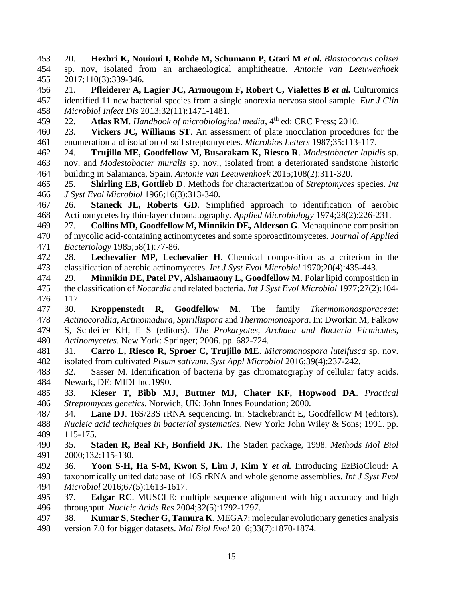20. **Hezbri K, Nouioui I, Rohde M, Schumann P, Gtari M** *et al. Blastococcus colisei* sp. nov, isolated from an archaeological amphitheatre. *Antonie van Leeuwenhoek* 2017;110(3):339-346.

 21. **Pfleiderer A, Lagier JC, Armougom F, Robert C, Vialettes B** *et al.* Culturomics identified 11 new bacterial species from a single anorexia nervosa stool sample. *Eur J Clin Microbiol Infect Dis* 2013;32(11):1471-1481.

22. **Atlas RM**. *Handbook of microbiological media*, 4<sup>th</sup> ed: CRC Press; 2010.

 23. **Vickers JC, Williams ST**. An assessment of plate inoculation procedures for the enumeration and isolation of soil streptomycetes. *Microbios Letters* 1987;35:113-117.

 24. **Trujillo ME, Goodfellow M, Busarakam K, Riesco R**. *Modestobacter lapidis* sp. nov. and *Modestobacter muralis* sp. nov., isolated from a deteriorated sandstone historic building in Salamanca, Spain. *Antonie van Leeuwenhoek* 2015;108(2):311-320.

 25. **Shirling EB, Gottlieb D**. Methods for characterization of *Streptomyces* species. *Int J Syst Evol Microbiol* 1966;16(3):313-340.

 26. **Staneck JL, Roberts GD**. Simplified approach to identification of aerobic Actinomycetes by thin-layer chromatography. *Applied Microbiology* 1974;28(2):226-231.

 27. **Collins MD, Goodfellow M, Minnikin DE, Alderson G**. Menaquinone composition of mycolic acid-containing actinomycetes and some sporoactinomycetes. *Journal of Applied Bacteriology* 1985;58(1):77-86.

- 28. **Lechevalier MP, Lechevalier H**. Chemical composition as a criterion in the classification of aerobic actinomycetes. *Int J Syst Evol Microbiol* 1970;20(4):435-443.
- 29. **Minnikin DE, Patel PV, Alshamaony L, Goodfellow M**. Polar lipid composition in the classification of *Nocardia* and related bacteria. *Int J Syst Evol Microbiol* 1977;27(2):104- 117.
- 30. **Kroppenstedt R, Goodfellow M**. The family *Thermomonosporaceae*: *Actinocorallia*, *Actinomadura*, *Spirillispora* and *Thermomonospora*. In: Dworkin M, Falkow S, Schleifer KH, E S (editors). *The Prokaryotes, Archaea and Bacteria Firmicutes, Actinomycetes*. New York: Springer; 2006. pp. 682-724.
- 31. **Carro L, Riesco R, Sproer C, Trujillo ME**. *Micromonospora luteifusca* sp. nov. isolated from cultivated *Pisum sativum*. *Syst Appl Microbiol* 2016;39(4):237-242.
- 32. Sasser M. Identification of bacteria by gas chromatography of cellular fatty acids. Newark, DE: MIDI Inc.1990.
- 33. **Kieser T, Bibb MJ, Buttner MJ, Chater KF, Hopwood DA**. *Practical Streptomyces genetics*. Norwich, UK: John Innes Foundation; 2000.
- 34. **Lane DJ**. 16S/23S rRNA sequencing. In: Stackebrandt E, Goodfellow M (editors). *Nucleic acid techniques in bacterial systematics*. New York: John Wiley & Sons; 1991. pp. 115-175.
- 35. **Staden R, Beal KF, Bonfield JK**. The Staden package, 1998. *Methods Mol Biol* 2000;132:115-130.
- 36. **Yoon S-H, Ha S-M, Kwon S, Lim J, Kim Y** *et al.* Introducing EzBioCloud: A taxonomically united database of 16S rRNA and whole genome assemblies. *Int J Syst Evol Microbiol* 2016;67(5):1613-1617.
- 37. **Edgar RC**. MUSCLE: multiple sequence alignment with high accuracy and high throughput. *Nucleic Acids Res* 2004;32(5):1792-1797.
- 38. **Kumar S, Stecher G, Tamura K**. MEGA7: molecular evolutionary genetics analysis version 7.0 for bigger datasets. *Mol Biol Evol* 2016;33(7):1870-1874.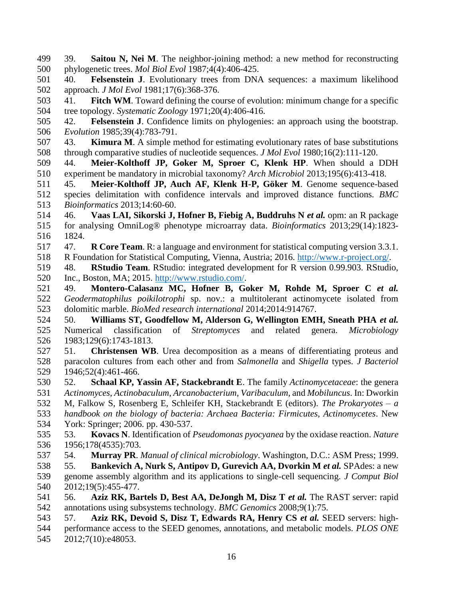- 39. **Saitou N, Nei M**. The neighbor-joining method: a new method for reconstructing phylogenetic trees. *Mol Biol Evol* 1987;4(4):406-425.
- 40. **Felsenstein J**. Evolutionary trees from DNA sequences: a maximum likelihood approach. *J Mol Evol* 1981;17(6):368-376.
- 41. **Fitch WM**. Toward defining the course of evolution: minimum change for a specific tree topology. *Systematic Zoology* 1971;20(4):406-416.
- 42. **Felsenstein J**. Confidence limits on phylogenies: an approach using the bootstrap. *Evolution* 1985;39(4):783-791.
- 43. **Kimura M**. A simple method for estimating evolutionary rates of base substitutions through comparative studies of nucleotide sequences. *J Mol Evol* 1980;16(2):111-120.
- 44. **Meier-Kolthoff JP, Goker M, Sproer C, Klenk HP**. When should a DDH experiment be mandatory in microbial taxonomy? *Arch Microbiol* 2013;195(6):413-418.
- 45. **Meier-Kolthoff JP, Auch AF, Klenk H-P, Göker M**. Genome sequence-based species delimitation with confidence intervals and improved distance functions. *BMC Bioinformatics* 2013;14:60-60.
- 46. **Vaas LAI, Sikorski J, Hofner B, Fiebig A, Buddruhs N** *et al.* opm: an R package for analysing OmniLog® phenotype microarray data. *Bioinformatics* 2013;29(14):1823- 1824.
- 47. **R Core Team**. R: a language and environment for statistical computing version 3.3.1. R Foundation for Statistical Computing, Vienna, Austria; 2016. [http://www.r-project.org/.](http://www.r-project.org/)
- 48. **RStudio Team**. RStudio: integrated development for R version 0.99.903. RStudio, Inc., Boston, MA; 2015. [http://www.rstudio.com/.](http://www.rstudio.com/)
- 49. **Montero-Calasanz MC, Hofner B, Goker M, Rohde M, Sproer C** *et al. Geodermatophilus poikilotrophi* sp. nov.: a multitolerant actinomycete isolated from dolomitic marble. *BioMed research international* 2014;2014:914767.
- 50. **Williams ST, Goodfellow M, Alderson G, Wellington EMH, Sneath PHA** *et al.* Numerical classification of *Streptomyces* and related genera. *Microbiology* 1983;129(6):1743-1813.
- 51. **Christensen WB**. Urea decomposition as a means of differentiating proteus and paracolon cultures from each other and from *Salmonella* and *Shigella* types. *J Bacteriol* 1946;52(4):461-466.
- 52. **Schaal KP, Yassin AF, Stackebrandt E**. The family *Actinomycetaceae*: the genera *Actinomyces*, *Actinobaculum*, *Arcanobacterium*, *Varibaculum*, and *Mobiluncus*. In: Dworkin M, Falkow S, Rosenberg E, Schleifer KH, Stackebrandt E (editors). *The Prokaryotes – a handbook on the biology of bacteria: Archaea Bacteria: Firmicutes, Actinomycetes*. New York: Springer; 2006. pp. 430-537.
- 53. **Kovacs N**. Identification of *Pseudomonas pyocyanea* by the oxidase reaction. *Nature* 1956;178(4535):703.
- 54. **Murray PR**. *Manual of clinical microbiology*. Washington, D.C.: ASM Press; 1999. 55. **Bankevich A, Nurk S, Antipov D, Gurevich AA, Dvorkin M** *et al.* SPAdes: a new genome assembly algorithm and its applications to single-cell sequencing. *J Comput Biol* 2012;19(5):455-477.
- 56. **Aziz RK, Bartels D, Best AA, DeJongh M, Disz T** *et al.* The RAST server: rapid annotations using subsystems technology. *BMC Genomics* 2008;9(1):75.
- 57. **Aziz RK, Devoid S, Disz T, Edwards RA, Henry CS** *et al.* SEED servers: high- performance access to the SEED genomes, annotations, and metabolic models. *PLOS ONE* 2012;7(10):e48053.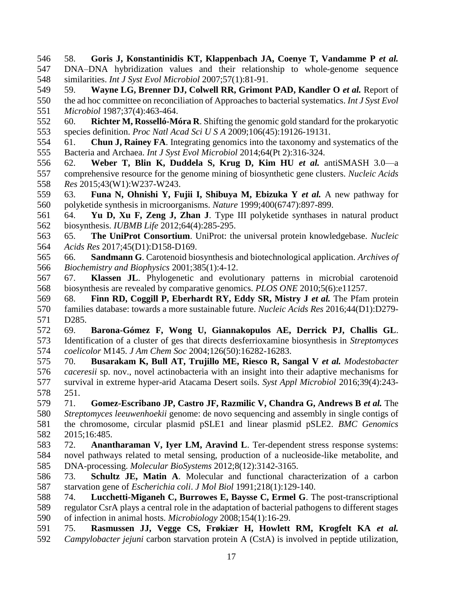58. **Goris J, Konstantinidis KT, Klappenbach JA, Coenye T, Vandamme P** *et al.* DNA–DNA hybridization values and their relationship to whole-genome sequence similarities. *Int J Syst Evol Microbiol* 2007;57(1):81-91.

 59. **Wayne LG, Brenner DJ, Colwell RR, Grimont PAD, Kandler O** *et al.* Report of the ad hoc committee on reconciliation of Approaches to bacterial systematics. *Int J Syst Evol Microbiol* 1987;37(4):463-464.

 60. **Richter M, Rosselló-Móra R**. Shifting the genomic gold standard for the prokaryotic species definition. *Proc Natl Acad Sci U S A* 2009;106(45):19126-19131.

 61. **Chun J, Rainey FA**. Integrating genomics into the taxonomy and systematics of the Bacteria and Archaea. *Int J Syst Evol Microbiol* 2014;64(Pt 2):316-324.

 62. **Weber T, Blin K, Duddela S, Krug D, Kim HU** *et al.* antiSMASH 3.0—a comprehensive resource for the genome mining of biosynthetic gene clusters. *Nucleic Acids Res* 2015;43(W1):W237-W243.

 63. **Funa N, Ohnishi Y, Fujii I, Shibuya M, Ebizuka Y** *et al.* A new pathway for polyketide synthesis in microorganisms. *Nature* 1999;400(6747):897-899.

 64. **Yu D, Xu F, Zeng J, Zhan J**. Type III polyketide synthases in natural product biosynthesis. *IUBMB Life* 2012;64(4):285-295.

 65. **The UniProt Consortium**. UniProt: the universal protein knowledgebase. *Nucleic Acids Res* 2017;45(D1):D158-D169.

 66. **Sandmann G**. Carotenoid biosynthesis and biotechnological application. *Archives of Biochemistry and Biophysics* 2001;385(1):4-12.

 67. **Klassen JL**. Phylogenetic and evolutionary patterns in microbial carotenoid biosynthesis are revealed by comparative genomics. *PLOS ONE* 2010;5(6):e11257.

 68. **Finn RD, Coggill P, Eberhardt RY, Eddy SR, Mistry J** *et al.* The Pfam protein families database: towards a more sustainable future. *Nucleic Acids Res* 2016;44(D1):D279- D285.

 69. **Barona-Gómez F, Wong U, Giannakopulos AE, Derrick PJ, Challis GL**. Identification of a cluster of ges that directs desferrioxamine biosynthesis in *Streptomyces coelicolor* M145. *J Am Chem Soc* 2004;126(50):16282-16283.

 70. **Busarakam K, Bull AT, Trujillo ME, Riesco R, Sangal V** *et al. Modestobacter caceresii* sp. nov., novel actinobacteria with an insight into their adaptive mechanisms for survival in extreme hyper-arid Atacama Desert soils. *Syst Appl Microbiol* 2016;39(4):243- 251.

 71. **Gomez-Escribano JP, Castro JF, Razmilic V, Chandra G, Andrews B** *et al.* The *Streptomyces leeuwenhoekii* genome: de novo sequencing and assembly in single contigs of the chromosome, circular plasmid pSLE1 and linear plasmid pSLE2. *BMC Genomics* 2015;16:485.

 72. **Anantharaman V, Iyer LM, Aravind L**. Ter-dependent stress response systems: novel pathways related to metal sensing, production of a nucleoside-like metabolite, and DNA-processing. *Molecular BioSystems* 2012;8(12):3142-3165.

 73. **Schultz JE, Matin A**. Molecular and functional characterization of a carbon starvation gene of *Escherichia coli*. *J Mol Biol* 1991;218(1):129-140.

 74. **Lucchetti-Miganeh C, Burrowes E, Baysse C, Ermel G**. The post-transcriptional regulator CsrA plays a central role in the adaptation of bacterial pathogens to different stages of infection in animal hosts. *Microbiology* 2008;154(1):16-29.

 75. **Rasmussen JJ, Vegge CS, Frøkiær H, Howlett RM, Krogfelt KA** *et al. Campylobacter jejuni* carbon starvation protein A (CstA) is involved in peptide utilization,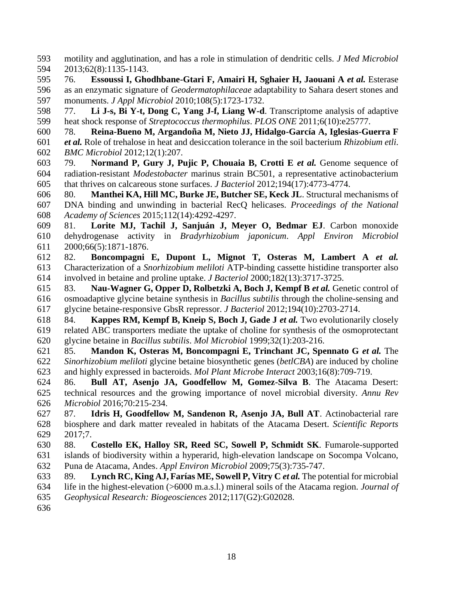motility and agglutination, and has a role in stimulation of dendritic cells. *J Med Microbiol* 2013;62(8):1135-1143.

 76. **Essoussi I, Ghodhbane-Gtari F, Amairi H, Sghaier H, Jaouani A** *et al.* Esterase as an enzymatic signature of *Geodermatophilaceae* adaptability to Sahara desert stones and monuments. *J Appl Microbiol* 2010;108(5):1723-1732.

 77. **Li J-s, Bi Y-t, Dong C, Yang J-f, Liang W-d**. Transcriptome analysis of adaptive heat shock response of *Streptococcus thermophilus*. *PLOS ONE* 2011;6(10):e25777.

 78. **Reina-Bueno M, Argandoña M, Nieto JJ, Hidalgo-García A, Iglesias-Guerra F** *et al.* Role of trehalose in heat and desiccation tolerance in the soil bacterium *Rhizobium etli*. *BMC Microbiol* 2012;12(1):207.

 79. **Normand P, Gury J, Pujic P, Chouaia B, Crotti E** *et al.* Genome sequence of radiation-resistant *Modestobacter* marinus strain BC501, a representative actinobacterium that thrives on calcareous stone surfaces. *J Bacteriol* 2012;194(17):4773-4774.

 80. **Manthei KA, Hill MC, Burke JE, Butcher SE, Keck JL**. Structural mechanisms of DNA binding and unwinding in bacterial RecQ helicases. *Proceedings of the National Academy of Sciences* 2015;112(14):4292-4297.

 81. **Lorite MJ, Tachil J, Sanjuán J, Meyer O, Bedmar EJ**. Carbon monoxide dehydrogenase activity in *Bradyrhizobium japonicum*. *Appl Environ Microbiol* 2000;66(5):1871-1876.

 82. **Boncompagni E, Dupont L, Mignot T, Osteras M, Lambert A** *et al.* Characterization of a *Snorhizobium meliloti* ATP-binding cassette histidine transporter also involved in betaine and proline uptake. *J Bacteriol* 2000;182(13):3717-3725.

 83. **Nau-Wagner G, Opper D, Rolbetzki A, Boch J, Kempf B** *et al.* Genetic control of osmoadaptive glycine betaine synthesis in *Bacillus subtilis* through the choline-sensing and glycine betaine-responsive GbsR repressor. *J Bacteriol* 2012;194(10):2703-2714.

 84. **Kappes RM, Kempf B, Kneip S, Boch J, Gade J** *et al.* Two evolutionarily closely related ABC transporters mediate the uptake of choline for synthesis of the osmoprotectant glycine betaine in *Bacillus subtilis*. *Mol Microbiol* 1999;32(1):203-216.

 85. **Mandon K, Osteras M, Boncompagni E, Trinchant JC, Spennato G** *et al.* The *Sinorhizobium meliloti* glycine betaine biosynthetic genes (*betlCBA*) are induced by choline and highly expressed in bacteroids. *Mol Plant Microbe Interact* 2003;16(8):709-719.

 86. **Bull AT, Asenjo JA, Goodfellow M, Gomez-Silva B**. The Atacama Desert: technical resources and the growing importance of novel microbial diversity. *Annu Rev Microbiol* 2016;70:215-234.

 87. **Idris H, Goodfellow M, Sandenon R, Asenjo JA, Bull AT**. Actinobacterial rare biosphere and dark matter revealed in habitats of the Atacama Desert. *Scientific Reports* 2017;7.

 88. **Costello EK, Halloy SR, Reed SC, Sowell P, Schmidt SK**. Fumarole-supported islands of biodiversity within a hyperarid, high-elevation landscape on Socompa Volcano, Puna de Atacama, Andes. *Appl Environ Microbiol* 2009;75(3):735-747.

 89. **Lynch RC, King AJ, Farías ME, Sowell P, Vitry C** *et al.* The potential for microbial life in the highest-elevation (>6000 m.a.s.l.) mineral soils of the Atacama region. *Journal of Geophysical Research: Biogeosciences* 2012;117(G2):G02028.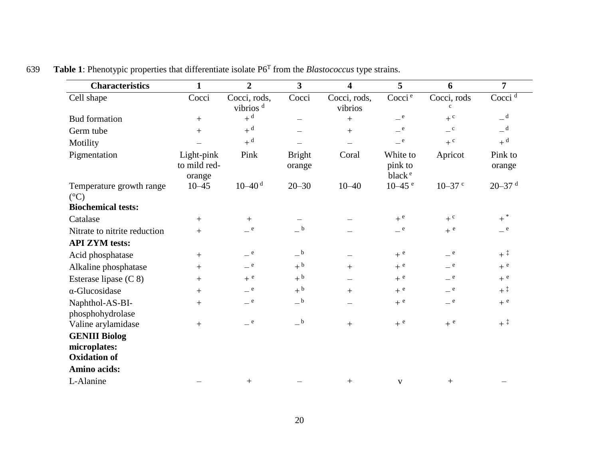| <b>Characteristics</b>                                      | $\mathbf{1}$                         | $\overline{2}$                       | $\overline{\mathbf{3}}$ | $\overline{\mathbf{4}}$ | 5                                         | 6                           | 7                                    |
|-------------------------------------------------------------|--------------------------------------|--------------------------------------|-------------------------|-------------------------|-------------------------------------------|-----------------------------|--------------------------------------|
| Cell shape                                                  | Cocci                                | Cocci, rods,<br>vibrios <sup>d</sup> | Cocci                   | Cocci, rods,<br>vibrios | Cocci <sup>e</sup>                        | Cocci, rods<br>$\mathbf{c}$ | Cocci $\overline{d}$                 |
| <b>Bud</b> formation                                        | $+$                                  | $+$ <sup>d</sup>                     |                         | $+$                     | $-$ e $\,$                                | $+$ <sup>c</sup>            | $-$ <sup>d</sup>                     |
| Germ tube                                                   | $^{+}$                               | $+$ <sup>d</sup>                     |                         | $+$                     | $-$ e $\,$                                | $\mathbf{C}$                | $=$ d                                |
| Motility                                                    |                                      | $+$ <sup>d</sup>                     |                         |                         | e                                         | $+$ <sup>c</sup>            | $+$ <sup>d</sup>                     |
| Pigmentation                                                | Light-pink<br>to mild red-<br>orange | Pink                                 | <b>Bright</b><br>orange | Coral                   | White to<br>pink to<br>black <sup>e</sup> | Apricot                     | Pink to<br>orange                    |
| Temperature growth range<br>$({}^{\circ}C)$                 | $10 - 45$                            | $10 - 40$ <sup>d</sup>               | $20 - 30$               | $10 - 40$               | $10 - 45$ <sup>e</sup>                    | $10 - 37$ c                 | $20 - 37$ <sup>d</sup>               |
| <b>Biochemical tests:</b>                                   |                                      |                                      |                         |                         |                                           |                             |                                      |
| Catalase                                                    | $+$                                  | $+$                                  |                         |                         | $+$ e                                     | $+$ <sup>c</sup>            | $+$ $^\ast$                          |
| Nitrate to nitrite reduction                                | $^{+}$                               | $=$ e                                | $\_$ $\rm b$            |                         | $-$ e                                     | $+$ <sup>e</sup>            | $=$ e                                |
| <b>API ZYM</b> tests:                                       |                                      |                                      |                         |                         |                                           |                             |                                      |
| Acid phosphatase                                            | $^{+}$                               | $=$ e                                | $_{-}$ b                |                         | $+$ e                                     | $-$ e $\,$                  | $+$ <sup><math>\ddagger</math></sup> |
| Alkaline phosphatase                                        | $+$                                  | $-$ e $\,$                           | $+$ <sup>b</sup>        | $+$                     | $+$ <sup>e</sup>                          | $-$ e $\,$                  | $+$ <sup>e</sup>                     |
| Esterase lipase (C 8)                                       | $^{+}$                               | $+$ <sup>e</sup>                     | $+$ <sup>b</sup>        |                         | $+$ <sup>e</sup>                          | $=$ e                       | $+$ <sup>e</sup>                     |
| $\alpha$ -Glucosidase                                       | $+$                                  | $-$ e                                | $+$ <sup>b</sup>        | $+$                     | $+$ <sup>e</sup>                          | $-$ e $\,$                  | $+$ <sup><math>\ddagger</math></sup> |
| Naphthol-AS-BI-<br>phosphohydrolase                         | $+$                                  | $-$ e $\,$                           | $-{}^{\rm b}$           |                         | $+$ <sup>e</sup>                          | $-$ e $\,$                  | $+$ <sup>e</sup>                     |
| Valine arylamidase                                          | $^{+}$                               | $=$ e                                | $\_^{\rm b}$            | $+$                     | $+$ <sup>e</sup>                          | $+$ <sup>e</sup>            | $+$ ‡                                |
| <b>GENIII Biolog</b><br>microplates:<br><b>Oxidation of</b> |                                      |                                      |                         |                         |                                           |                             |                                      |
| Amino acids:                                                |                                      |                                      |                         |                         |                                           |                             |                                      |
| L-Alanine                                                   |                                      | $^{+}$                               |                         | $+$                     | V                                         | $+$                         |                                      |

**Table 1**: Phenotypic properties that differentiate isolate P6<sup>T</sup> from the *Blastococcus* type strains.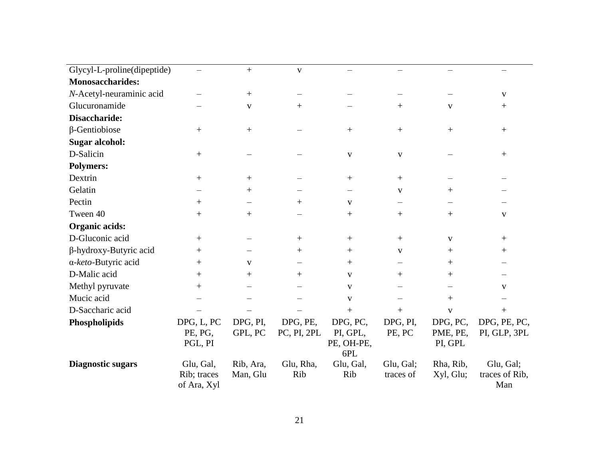| Glycyl-L-proline(dipeptide)   |                                         | $^{+}$                | $\mathbf{V}$            |                                           |                        |                                 |                                    |
|-------------------------------|-----------------------------------------|-----------------------|-------------------------|-------------------------------------------|------------------------|---------------------------------|------------------------------------|
| <b>Monosaccharides:</b>       |                                         |                       |                         |                                           |                        |                                 |                                    |
| N-Acetyl-neuraminic acid      |                                         | $^{+}$                |                         |                                           |                        |                                 | V                                  |
| Glucuronamide                 |                                         | $\mathbf V$           | $^{+}$                  |                                           | $^{+}$                 | $\mathbf{V}$                    | $^{+}$                             |
| Disaccharide:                 |                                         |                       |                         |                                           |                        |                                 |                                    |
| $\beta$ -Gentiobiose          | $^{+}$                                  | $^{+}$                |                         | $^{+}$                                    | $^{+}$                 | $^{+}$                          | $^+$                               |
| <b>Sugar alcohol:</b>         |                                         |                       |                         |                                           |                        |                                 |                                    |
| D-Salicin                     | $^{+}$                                  |                       |                         | $\mathbf{V}$                              | $\mathbf{V}$           |                                 | $^{+}$                             |
| <b>Polymers:</b>              |                                         |                       |                         |                                           |                        |                                 |                                    |
| Dextrin                       | $^{+}$                                  | $^{+}$                |                         |                                           | $^{+}$                 |                                 |                                    |
| Gelatin                       |                                         | $^+$                  |                         |                                           | V                      | $^{+}$                          |                                    |
| Pectin                        | $+$                                     |                       | $^{+}$                  | $\mathbf{V}$                              |                        |                                 |                                    |
| Tween 40                      | $^{+}$                                  | $^{+}$                |                         |                                           | $+$                    | $+$                             | V                                  |
| Organic acids:                |                                         |                       |                         |                                           |                        |                                 |                                    |
| D-Gluconic acid               | $^{+}$                                  |                       | $^{+}$                  | $+$                                       | $+$                    | V                               | $^+$                               |
| $\beta$ -hydroxy-Butyric acid | $^{+}$                                  |                       | $+$                     | $^{+}$                                    | $\mathbf{V}$           | $+$                             | $^{+}$                             |
| α-keto-Butyric acid           | $^{+}$                                  | V                     |                         | $^{+}$                                    |                        | $^{+}$                          |                                    |
| D-Malic acid                  | $^{+}$                                  | $^{+}$                | $+$                     | V                                         | $^{+}$                 | $^{+}$                          |                                    |
| Methyl pyruvate               | $^{+}$                                  |                       |                         | $\mathbf{V}$                              |                        |                                 | V                                  |
| Mucic acid                    |                                         |                       |                         | $\mathbf{V}$                              |                        | $+$                             |                                    |
| D-Saccharic acid              |                                         |                       |                         | $+$                                       | $^{+}$                 | $\mathbf{V}$                    | $^{+}$                             |
| Phospholipids                 | DPG, L, PC<br>PE, PG,<br>PGL, PI        | DPG, PI,<br>GPL, PC   | DPG, PE,<br>PC, PI, 2PL | DPG, PC,<br>PI, GPL,<br>PE, OH-PE,<br>6PL | DPG, PI,<br>PE, PC     | DPG, PC,<br>PME, PE,<br>PI, GPL | DPG, PE, PC,<br>PI, GLP, 3PL       |
| <b>Diagnostic sugars</b>      | Glu, Gal,<br>Rib; traces<br>of Ara, Xyl | Rib, Ara,<br>Man, Glu | Glu, Rha,<br>Rib        | Glu, Gal,<br>Rib                          | Glu, Gal;<br>traces of | Rha, Rib,<br>Xyl, Glu;          | Glu, Gal;<br>traces of Rib,<br>Man |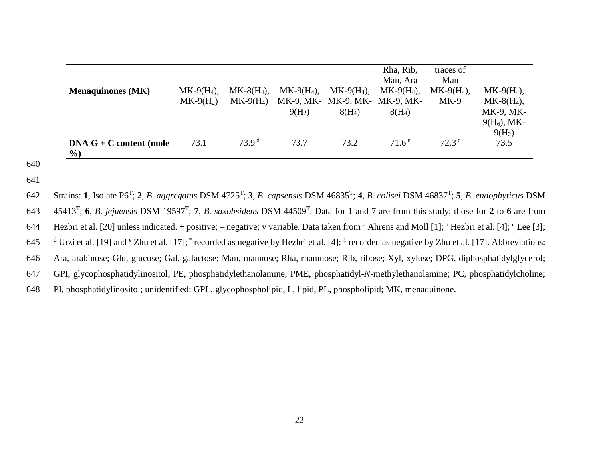| <b>Menaquinones</b> (MK)             | $MK-9(H_4)$ ,<br>$MK-9(H2)$ | $MK-8(H4)$ ,<br>$MK-9(H_4)$ | $MK-9(H4)$ ,<br>$9(H_2)$ | $MK-9(H_4)$ ,<br>MK-9, MK- MK-9, MK- MK-9, MK-<br>$8(H_4)$ | Rha, Rib,<br>Man, Ara<br>$MK-9(H_4)$ ,<br>$8(H_4)$ | traces of<br>Man<br>$MK-9(H4)$ ,<br>$MK-9$ | $MK-9(H4),$<br>$MK-8(H4),$<br>MK-9, MK-<br>$9(H_6)$ , MK- |
|--------------------------------------|-----------------------------|-----------------------------|--------------------------|------------------------------------------------------------|----------------------------------------------------|--------------------------------------------|-----------------------------------------------------------|
| $DNA G + C content (mole)$<br>$\%$ ) | 73.1                        | 73.9 <sup>d</sup>           | 73.7                     | 73.2                                                       | $71.6^{\circ}$                                     | $72.3^{\circ}$                             | $9(H_2)$<br>73.5                                          |

- 640
- 641

Strains: **1**, Isolate P6<sup>T</sup> ; **2**, *B. aggregatus* DSM 4725<sup>T</sup> ; **3**, *B. capsensis* DSM 46835<sup>T</sup> ; **4**, *B. colisei* DSM 46837<sup>T</sup> 642 ; **5**, *B. endophyticus* DSM 45413<sup>T</sup> ; **6**, *B. jejuensis* DSM 19597<sup>T</sup> ; **7**, *B. saxobsidens* DSM 44509<sup>T</sup> 643 . Data for **1** and 7 are from this study; those for **2** to **6** are from 644 Hezbri et al. [20] unless indicated. + positive; – negative; v variable. Data taken from <sup>a</sup> Ahrens and Moll [1]; <sup>b</sup> Hezbri et al. [4]; <sup>c</sup> Lee [3]; 645  $^{\text{d}}$  Urzì et al. [19] and  $^{\text{e}}$  Zhu et al. [17];  $^*$  recorded as negative by Hezbri et al. [4];  $^{\ddagger}$  recorded as negative by Zhu et al. [17]. Abbreviations: 646 Ara, arabinose; Glu, glucose; Gal, galactose; Man, mannose; Rha, rhamnose; Rib, ribose; Xyl, xylose; DPG, diphosphatidylglycerol; 647 GPI, glycophosphatidylinositol; PE, phosphatidylethanolamine; PME, phosphatidyl-*N*-methylethanolamine; PC, phosphatidylcholine; 648 PI, phosphatidylinositol; unidentified: GPL, glycophospholipid, L, lipid, PL, phospholipid; MK, menaquinone.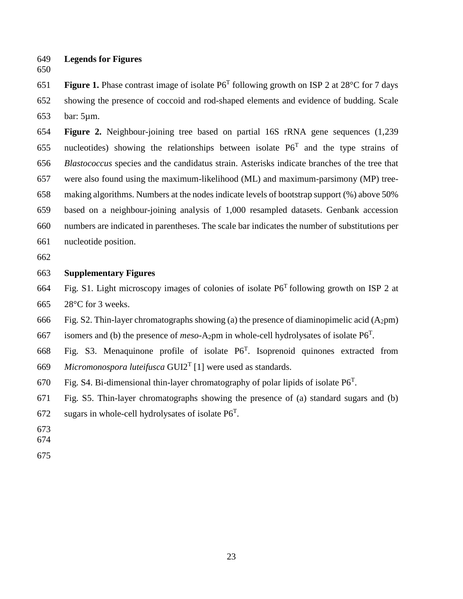- **Legends for Figures**
- 

**Figure 1.** Phase contrast image of isolate  $P6^T$  following growth on ISP 2 at 28°C for 7 days showing the presence of coccoid and rod-shaped elements and evidence of budding. Scale bar: 5µm.

 **Figure 2.** Neighbour-joining tree based on partial 16S rRNA gene sequences (1,239 655 nucleotides) showing the relationships between isolate  $P6<sup>T</sup>$  and the type strains of *Blastococcus* species and the candidatus strain. Asterisks indicate branches of the tree that were also found using the maximum-likelihood (ML) and maximum-parsimony (MP) tree- making algorithms. Numbers at the nodes indicate levels of bootstrap support (%) above 50% based on a neighbour-joining analysis of 1,000 resampled datasets. Genbank accession numbers are indicated in parentheses. The scale bar indicates the number of substitutions per nucleotide position.

#### **Supplementary Figures**

664 Fig. S1. Light microscopy images of colonies of isolate  $P6<sup>T</sup>$  following growth on ISP 2 at 28°C for 3 weeks.

666 Fig. S2. Thin-layer chromatographs showing (a) the presence of diaminopimelic acid (A<sub>2</sub>pm)

667 isomers and (b) the presence of  $meso-A_2$ pm in whole-cell hydrolysates of isolate  $P6^T$ .

668 Fig. S3. Menaquinone profile of isolate  $P6^T$ . Isoprenoid quinones extracted from 669 *Micromonospora luteifusca* GUI2<sup>T</sup> [1] were used as standards.

670 Fig. S4. Bi-dimensional thin-layer chromatography of polar lipids of isolate  $P6^T$ .

Fig. S5. Thin-layer chromatographs showing the presence of (a) standard sugars and (b)

- 672 sugars in whole-cell hydrolysates of isolate  $P6^T$ .
- 
- 
-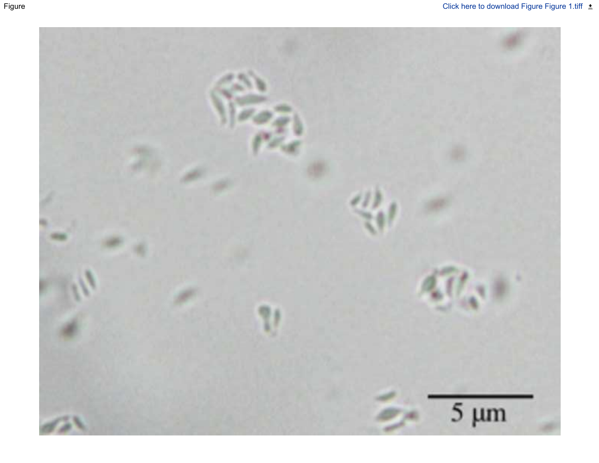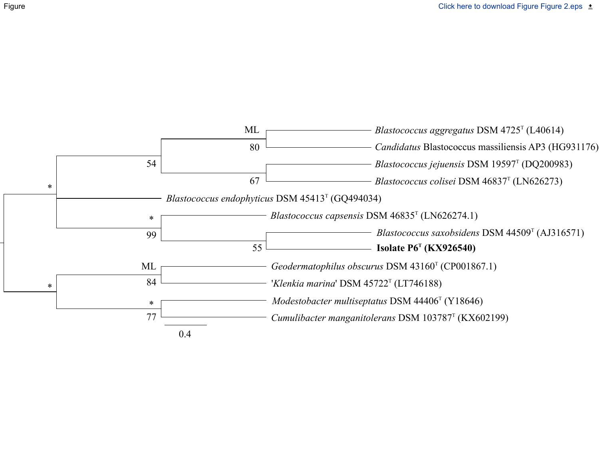

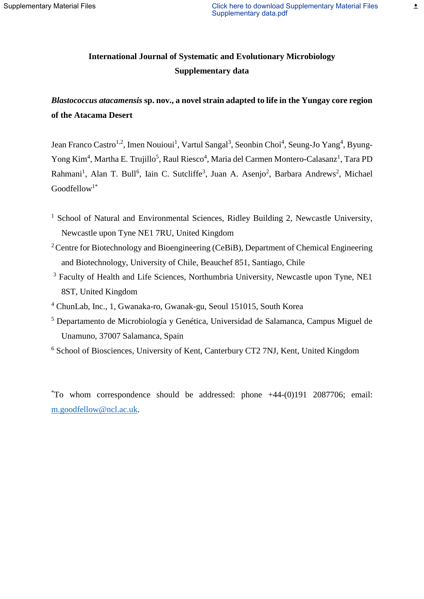### **International Journal of Systematic and Evolutionary Microbiology Supplementary data**

## *Blastococcus atacamensis* **sp. nov., a novel strain adapted to life in the Yungay core region of the Atacama Desert**

Jean Franco Castro<sup>1,2</sup>, Imen Nouioui<sup>1</sup>, Vartul Sangal<sup>3</sup>, Seonbin Choi<sup>4</sup>, Seung-Jo Yang<sup>4</sup>, Byung-Yong Kim<sup>4</sup>, Martha E. Trujillo<sup>5</sup>, Raul Riesco<sup>4</sup>, Maria del Carmen Montero-Calasanz<sup>1</sup>, Tara PD Rahmani<sup>1</sup>, Alan T. Bull<sup>6</sup>, Iain C. Sutcliffe<sup>3</sup>, Juan A. Asenjo<sup>2</sup>, Barbara Andrews<sup>2</sup>, Michael  $Goodfellow<sup>1*</sup>$ 

- $1$  School of Natural and Environmental Sciences, Ridley Building 2, Newcastle University, Newcastle upon Tyne NE1 7RU, United Kingdom
- <sup>2</sup> Centre for Biotechnology and Bioengineering (CeBiB), Department of Chemical Engineering and Biotechnology, University of Chile, Beauchef 851, Santiago, Chile
- <sup>3</sup> Faculty of Health and Life Sciences, Northumbria University, Newcastle upon Tyne, NE1 8ST, United Kingdom
- <sup>4</sup> ChunLab, Inc., 1, Gwanaka-ro, Gwanak-gu, Seoul 151015, South Korea
- <sup>5</sup> Departamento de Microbiología y Genética, Universidad de Salamanca, Campus Miguel de Unamuno, 37007 Salamanca, Spain
- <sup>6</sup> School of Biosciences, University of Kent, Canterbury CT2 7NJ, Kent, United Kingdom

 $*$ To whom correspondence should be addressed: phone  $+44-(0)191$  2087706; email: [m.goodfellow@ncl.ac.uk.](mailto:m.goodfellow@ncl.ac.uk)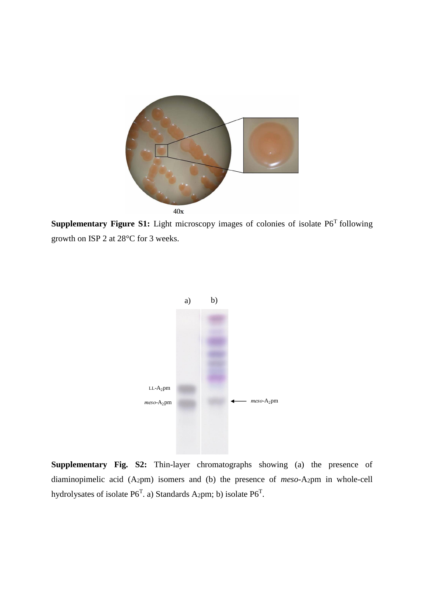

**Supplementary Figure S1:** Light microscopy images of colonies of isolate P6<sup>T</sup> following growth on ISP 2 at 28°C for 3 weeks.



**Supplementary Fig. S2:** Thin-layer chromatographs showing (a) the presence of diaminopimelic acid (A2pm) isomers and (b) the presence of *meso*-A2pm in whole-cell hydrolysates of isolate  $P6^T$ . a) Standards A<sub>2</sub>pm; b) isolate  $P6^T$ .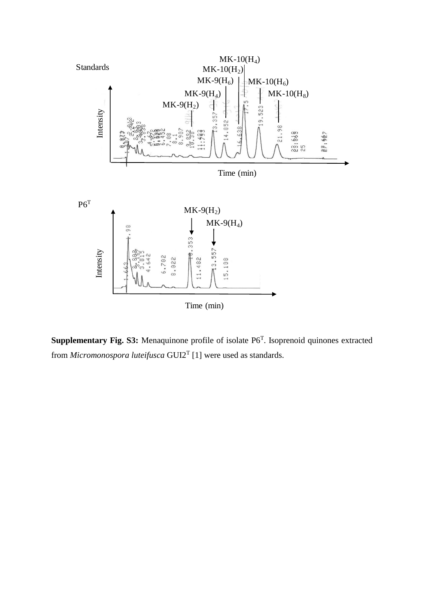

Supplementary Fig. S3: Menaquinone profile of isolate P6<sup>T</sup>. Isoprenoid quinones extracted from *Micromonospora luteifusca* GUI2<sup>T</sup> [1] were used as standards.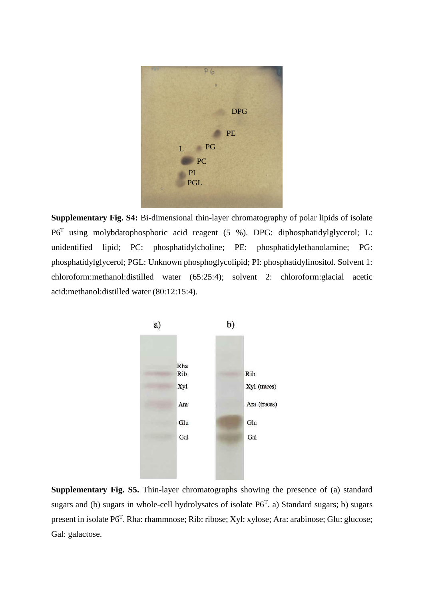

**Supplementary Fig. S4:** Bi-dimensional thin-layer chromatography of polar lipids of isolate P6<sup>T</sup> using molybdatophosphoric acid reagent (5 %). DPG: diphosphatidylglycerol; L: unidentified lipid; PC: phosphatidylcholine; PE: phosphatidylethanolamine; PG: phosphatidylglycerol; PGL: Unknown phosphoglycolipid; PI: phosphatidylinositol. Solvent 1: chloroform:methanol:distilled water (65:25:4); solvent 2: chloroform:glacial acetic acid:methanol:distilled water (80:12:15:4).



**Supplementary Fig. S5.** Thin-layer chromatographs showing the presence of (a) standard sugars and (b) sugars in whole-cell hydrolysates of isolate  $P6<sup>T</sup>$ . a) Standard sugars; b) sugars present in isolate P6<sup>T</sup>. Rha: rhammnose; Rib: ribose; Xyl: xylose; Ara: arabinose; Glu: glucose; Gal: galactose.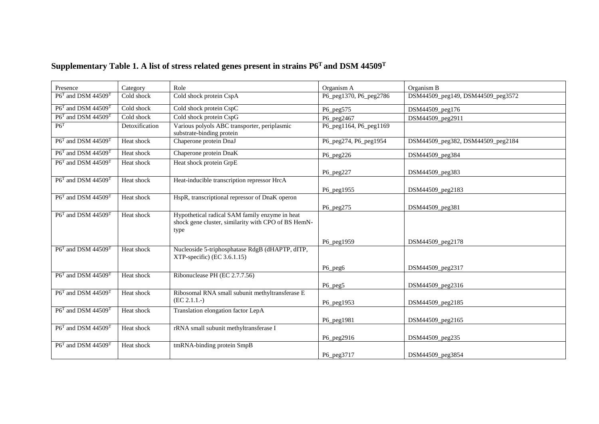| Presence                          | Category       | Role                                                                                                          | Organism A             | Organism B                        |
|-----------------------------------|----------------|---------------------------------------------------------------------------------------------------------------|------------------------|-----------------------------------|
| $P6T$ and DSM 44509 <sup>T</sup>  | Cold shock     | Cold shock protein CspA                                                                                       | P6_peg1370, P6_peg2786 | DSM44509_peg149, DSM44509_peg3572 |
| $P6T$ and DSM 44509 <sup>T</sup>  | Cold shock     | Cold shock protein CspC                                                                                       | P6_peg575              | DSM44509_peg176                   |
| $P6^T$ and DSM 44509 <sup>T</sup> | Cold shock     | Cold shock protein CspG                                                                                       | P6_peg2467             | DSM44509_peg2911                  |
| P6 <sup>T</sup>                   | Detoxification | Various polyols ABC transporter, periplasmic<br>substrate-binding protein                                     | P6_peg1164, P6_peg1169 |                                   |
| $P6T$ and DSM 44509 <sup>T</sup>  | Heat shock     | Chaperone protein DnaJ                                                                                        | P6_peg274, P6_peg1954  | DSM44509_peg382, DSM44509_peg2184 |
| $P6T$ and DSM 44509 <sup>T</sup>  | Heat shock     | Chaperone protein DnaK                                                                                        | $P6$ peg226            | DSM44509_peg384                   |
| $P6T$ and DSM 44509 <sup>T</sup>  | Heat shock     | Heat shock protein GrpE                                                                                       | $P6$ peg227            | DSM44509_peg383                   |
| P6T and DSM 44509T                | Heat shock     | Heat-inducible transcription repressor HrcA                                                                   |                        |                                   |
|                                   |                |                                                                                                               | P6_peg1955             | DSM44509_peg2183                  |
| $P6T$ and DSM 44509 <sup>T</sup>  | Heat shock     | HspR, transcriptional repressor of DnaK operon                                                                | P6_peg275              | DSM44509_peg381                   |
| $P6T$ and DSM 44509 <sup>T</sup>  | Heat shock     | Hypothetical radical SAM family enzyme in heat<br>shock gene cluster, similarity with CPO of BS HemN-<br>type |                        |                                   |
|                                   |                |                                                                                                               | P6_peg1959             | DSM44509_peg2178                  |
| $P6T$ and DSM 44509 <sup>T</sup>  | Heat shock     | Nucleoside 5-triphosphatase RdgB (dHAPTP, dITP,<br>$XTP-specific) (EC 3.6.1.15)$                              |                        |                                   |
|                                   |                |                                                                                                               | P6_peg6                | DSM44509_peg2317                  |
| $P6T$ and DSM 44509 <sup>T</sup>  | Heat shock     | Ribonuclease PH (EC 2.7.7.56)                                                                                 |                        |                                   |
| $P6T$ and DSM 44509 <sup>T</sup>  | Heat shock     | Ribosomal RNA small subunit methyltransferase E                                                               | P6_peg5                | DSM44509_peg2316                  |
|                                   |                | (EC 2.1.1.)                                                                                                   | P6_peg1953             | DSM44509_peg2185                  |
| $P6T$ and DSM 44509 <sup>T</sup>  | Heat shock     | Translation elongation factor LepA                                                                            |                        |                                   |
|                                   |                |                                                                                                               | P6_peg1981             | DSM44509_peg2165                  |
| $P6T$ and DSM 44509 <sup>T</sup>  | Heat shock     | rRNA small subunit methyltransferase I                                                                        |                        |                                   |
|                                   |                |                                                                                                               | P6_peg2916             | DSM44509_peg235                   |
| $P6T$ and DSM 44509 <sup>T</sup>  | Heat shock     | tmRNA-binding protein SmpB                                                                                    | P6_peg3717             | DSM44509_peg3854                  |

# **Supplementary Table 1. A list of stress related genes present in strains P6<sup>T</sup>and DSM 44509<sup>T</sup>**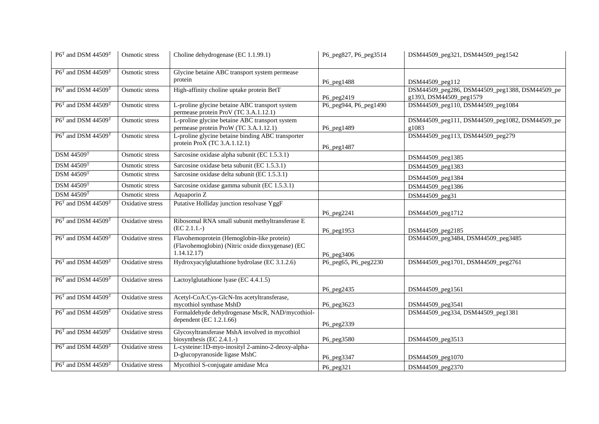| $P6^T$ and DSM 44509 <sup>T</sup>          | Osmotic stress          | Choline dehydrogenase (EC 1.1.99.1)                                                                          | P6_peg827, P6_peg3514 | DSM44509_peg321, DSM44509_peg1542                                         |
|--------------------------------------------|-------------------------|--------------------------------------------------------------------------------------------------------------|-----------------------|---------------------------------------------------------------------------|
| $P6T$ and DSM 44509 <sup>T</sup>           | Osmotic stress          | Glycine betaine ABC transport system permease<br>protein                                                     | P6_peg1488            | DSM44509_peg112                                                           |
| $P6T$ and DSM 44509 <sup>T</sup>           | Osmotic stress          | High-affinity choline uptake protein BetT                                                                    | P6_peg2419            | DSM44509_peg286, DSM44509_peg1388, DSM44509_pe<br>g1393, DSM44509_peg1579 |
| P6T and DSM 44509T                         | Osmotic stress          | L-proline glycine betaine ABC transport system<br>permease protein ProV (TC 3.A.1.12.1)                      | P6_peg944, P6_peg1490 | DSM44509_peg110, DSM44509_peg1084                                         |
| $P6T$ and DSM 44509 <sup>T</sup>           | Osmotic stress          | L-proline glycine betaine ABC transport system<br>permease protein ProW (TC 3.A.1.12.1)                      | P6_peg1489            | DSM44509_peg111, DSM44509_peg1082, DSM44509_pe<br>g1083                   |
| $P6^T$ and DSM 44509 <sup>T</sup>          | Osmotic stress          | L-proline glycine betaine binding ABC transporter<br>protein ProX (TC 3.A.1.12.1)                            | P6_peg1487            | DSM44509_peg113, DSM44509_peg279                                          |
| <b>DSM 44509T</b>                          | Osmotic stress          | Sarcosine oxidase alpha subunit (EC 1.5.3.1)                                                                 |                       | DSM44509_peg1385                                                          |
| <b>DSM 44509T</b>                          | Osmotic stress          | Sarcosine oxidase beta subunit (EC 1.5.3.1)                                                                  |                       | DSM44509_peg1383                                                          |
| <b>DSM 44509T</b>                          | Osmotic stress          | Sarcosine oxidase delta subunit (EC 1.5.3.1)                                                                 |                       | DSM44509_peg1384                                                          |
| <b>DSM 44509T</b>                          | Osmotic stress          | Sarcosine oxidase gamma subunit (EC 1.5.3.1)                                                                 |                       | DSM44509_peg1386                                                          |
| <b>DSM 44509T</b>                          | Osmotic stress          | Aquaporin Z                                                                                                  |                       | DSM44509_peg31                                                            |
| P6 <sup>T</sup> and DSM 44509 <sup>T</sup> | Oxidative stress        | Putative Holliday junction resolvase YggF                                                                    | P6_peg2241            | DSM44509_peg1712                                                          |
| $P6^T$ and DSM 44509 <sup>T</sup>          | <b>Oxidative</b> stress | Ribosomal RNA small subunit methyltransferase E<br>(EC 2.1.1.)                                               | P6_peg1953            | DSM44509_peg2185                                                          |
| $P6^T$ and DSM 44509 <sup>T</sup>          | <b>Oxidative</b> stress | Flavohemoprotein (Hemoglobin-like protein)<br>(Flavohemoglobin) (Nitric oxide dioxygenase) (EC<br>1.14.12.17 | P6_peg3406            | DSM44509_peg3484, DSM44509_peg3485                                        |
| $P6^T$ and DSM 44509 <sup>T</sup>          | Oxidative stress        | Hydroxyacylglutathione hydrolase (EC 3.1.2.6)                                                                | P6_peg65, P6_peg2230  | DSM44509_peg1701, DSM44509_peg2761                                        |
| P6T and DSM 44509T                         | Oxidative stress        | Lactoylglutathione lyase (EC 4.4.1.5)                                                                        | P6_peg2435            | DSM44509_peg1561                                                          |
| P6T and DSM 44509T                         | <b>Oxidative</b> stress | Acetyl-CoA:Cys-GlcN-Ins acetyltransferase,<br>mycothiol synthase MshD                                        | P6_peg3623            | DSM44509_peg3541                                                          |
| $P6T$ and DSM 44509 <sup>T</sup>           | Oxidative stress        | Formaldehyde dehydrogenase MscR, NAD/mycothiol-<br>dependent (EC 1.2.1.66)                                   | P6_peg2339            | DSM44509_peg334, DSM44509_peg1381                                         |
| $P6^T$ and DSM 44509 <sup>T</sup>          | Oxidative stress        | Glycosyltransferase MshA involved in mycothiol<br>biosynthesis (EC 2.4.1.-)                                  | P6_peg3580            | DSM44509_peg3513                                                          |
| $P6^T$ and DSM 44509 <sup>T</sup>          | Oxidative stress        | L-cysteine:1D-myo-inosityl 2-amino-2-deoxy-alpha-<br>D-glucopyranoside ligase MshC                           | P6_peg3347            | DSM44509_peg1070                                                          |
| $P6T$ and DSM 44509 <sup>T</sup>           | Oxidative stress        | Mycothiol S-conjugate amidase Mca                                                                            | P6_peg321             | DSM44509_peg2370                                                          |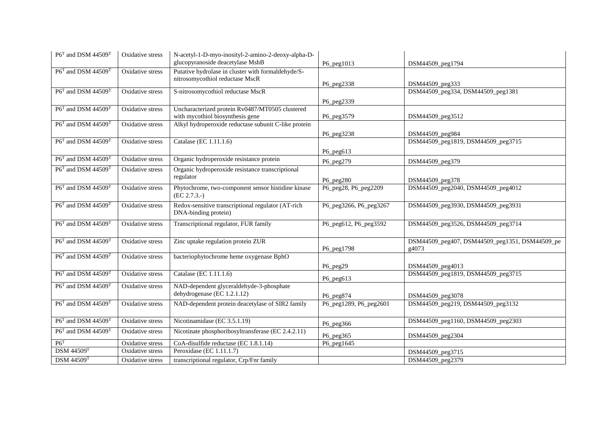| $P6^T$ and DSM 44509 <sup>T</sup>          | Oxidative stress        | N-acetyl-1-D-myo-inosityl-2-amino-2-deoxy-alpha-D-<br>glucopyranoside deacetylase MshB | P6_peg1013                          | DSM44509_peg1794                                        |
|--------------------------------------------|-------------------------|----------------------------------------------------------------------------------------|-------------------------------------|---------------------------------------------------------|
| P6T and DSM 44509T                         | Oxidative stress        | Putative hydrolase in cluster with formaldehyde/S-<br>nitrosomycothiol reductase MscR  | P6_peg2338                          | DSM44509_peg333                                         |
| $P6T$ and DSM 44509 <sup>T</sup>           | Oxidative stress        | S-nitrosomycothiol reductase MscR                                                      |                                     | DSM44509_peg334, DSM44509_peg1381                       |
|                                            |                         |                                                                                        | P6_peg2339                          |                                                         |
| $P6^T$ and DSM 44509 <sup>T</sup>          | <b>Oxidative</b> stress | Uncharacterized protein Rv0487/MT0505 clustered<br>with mycothiol biosynthesis gene    | P6_peg3579                          | DSM44509_peg3512                                        |
| P6 <sup>T</sup> and DSM 44509 <sup>T</sup> | <b>Oxidative</b> stress | Alkyl hydroperoxide reductase subunit C-like protein                                   |                                     |                                                         |
|                                            |                         |                                                                                        | P6_peg3238                          | DSM44509_peg984                                         |
| $P6T$ and DSM 44509 <sup>T</sup>           | Oxidative stress        | Catalase (EC 1.11.1.6)                                                                 |                                     | DSM44509_peg1819, DSM44509_peg3715                      |
|                                            |                         |                                                                                        | P6_peg613                           |                                                         |
| $P6^T$ and DSM 44509 <sup>T</sup>          | Oxidative stress        | Organic hydroperoxide resistance protein                                               | P6_peg279                           | DSM44509_peg379                                         |
| $P6T$ and DSM 44509 <sup>T</sup>           | Oxidative stress        | Organic hydroperoxide resistance transcriptional                                       |                                     |                                                         |
|                                            |                         | regulator                                                                              | P6_peg280                           | DSM44509_peg378                                         |
| P6 <sup>T</sup> and DSM 44509 <sup>T</sup> | <b>Oxidative</b> stress | Phytochrome, two-component sensor histidine kinase<br>(EC 2.7.3.)                      | P6_peg28, P6_peg2209                | DSM44509_peg2040, DSM44509_peg4012                      |
| P6 <sup>T</sup> and DSM 44509 <sup>T</sup> | Oxidative stress        | Redox-sensitive transcriptional regulator (AT-rich<br>DNA-binding protein)             | P6_peg3266, P6_peg3267              | DSM44509_peg3930, DSM44509_peg3931                      |
| $P6T$ and DSM 44509 <sup>T</sup>           | Oxidative stress        | Transcriptional regulator, FUR family                                                  | P6_peg612, P6_peg3592               | DSM44509_peg3526, DSM44509_peg3714                      |
| P6 <sup>T</sup> and DSM 44509 <sup>T</sup> | <b>Oxidative</b> stress | Zinc uptake regulation protein ZUR                                                     | P6_peg1798                          | DSM44509_peg407, DSM44509_peg1351, DSM44509_pe<br>g4073 |
| $P6T$ and DSM 44509 <sup>T</sup>           | Oxidative stress        | bacteriophytochrome heme oxygenase BphO                                                |                                     |                                                         |
|                                            |                         |                                                                                        | P6_peg29                            | DSM44509_peg4013                                        |
| $P6T$ and DSM 44509 <sup>T</sup>           | Oxidative stress        | Catalase (EC 1.11.1.6)                                                                 |                                     | DSM44509_peg1819, DSM44509_peg3715                      |
| $P6T$ and DSM 44509 <sup>T</sup>           | Oxidative stress        | NAD-dependent glyceraldehyde-3-phosphate                                               | P6_peg613                           |                                                         |
|                                            |                         | dehydrogenase (EC 1.2.1.12)                                                            |                                     |                                                         |
| $P6^T$ and DSM 44509 <sup>T</sup>          | Oxidative stress        | NAD-dependent protein deacetylase of SIR2 family                                       | P6_peg874<br>P6_peg1289, P6_peg2601 | DSM44509_peg3078<br>DSM44509_peg219, DSM44509_peg3132   |
|                                            |                         |                                                                                        |                                     |                                                         |
| $P6^T$ and DSM 44509 <sup>T</sup>          | Oxidative stress        | Nicotinamidase (EC 3.5.1.19)                                                           | P6_peg366                           | DSM44509_peg1160, DSM44509_peg2303                      |
| P6 <sup>T</sup> and DSM 44509 <sup>T</sup> | Oxidative stress        | Nicotinate phosphoribosyltransferase (EC 2.4.2.11)                                     | P6_peg365                           | DSM44509_peg2304                                        |
| P6 <sup>T</sup>                            | Oxidative stress        | CoA-disulfide reductase (EC 1.8.1.14)                                                  | P6_peg1645                          |                                                         |
| <b>DSM 44509T</b>                          | <b>Oxidative</b> stress | Peroxidase (EC 1.11.1.7)                                                               |                                     | DSM44509_peg3715                                        |
| <b>DSM 44509T</b>                          | Oxidative stress        | transcriptional regulator, Crp/Fnr family                                              |                                     | DSM44509_peg2379                                        |